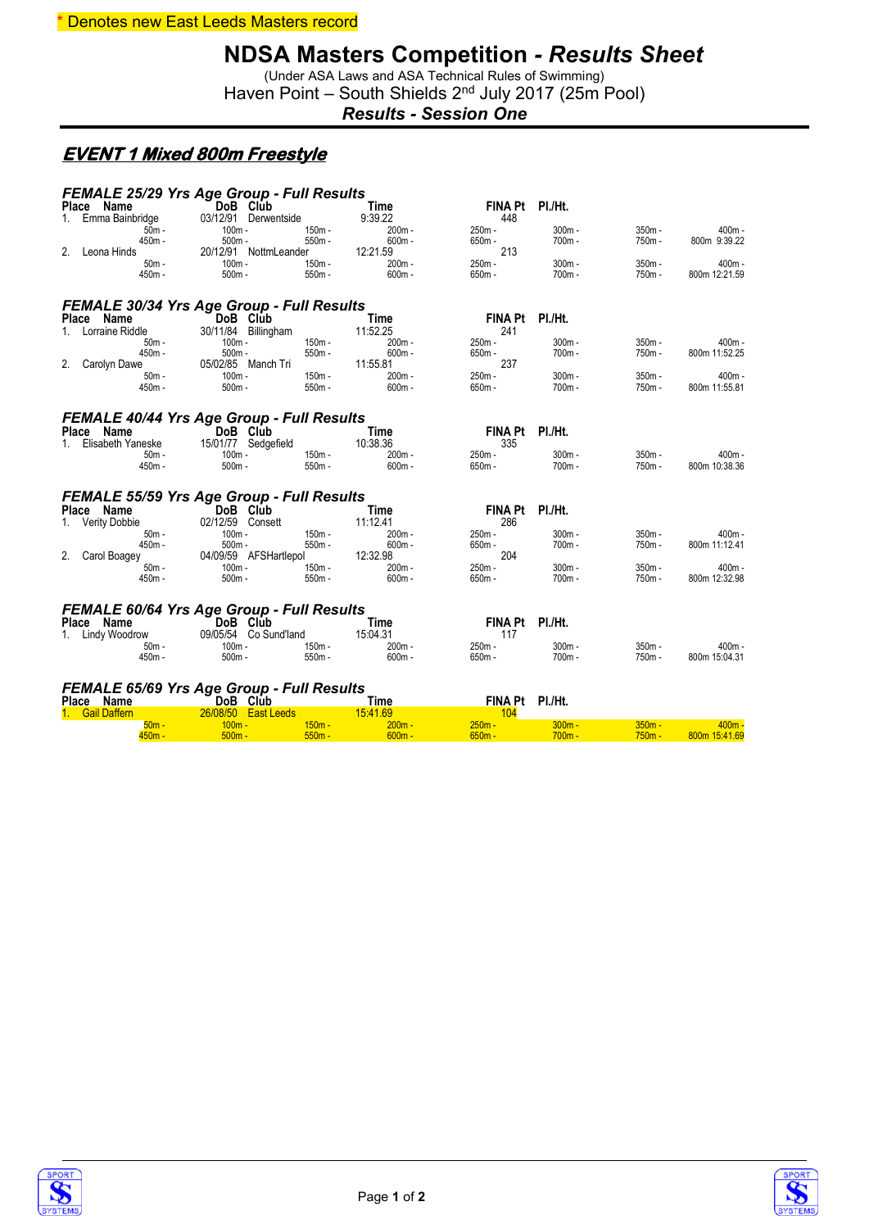#### \* Denotes new East Leeds Masters record

# **NDSA Masters Competition** *- Results Sheet*

(Under ASA Laws and ASA Technical Rules of Swimming) Haven Point - South Shields 2<sup>nd</sup> July 2017 (25m Pool)

*Results - Session One*

#### **EVENT 1 Mixed 800m Freestyle**

| FEMALE 25/29 Yrs Age Group - Full Results                      |                                  |                      |                         |                        |                    |                    |                           |
|----------------------------------------------------------------|----------------------------------|----------------------|-------------------------|------------------------|--------------------|--------------------|---------------------------|
| Place Name                                                     | DoB Club<br>03/12/91 Derwentside |                      | <b>Time</b><br>9:39.22  | FINA Pt PI./Ht.<br>448 |                    |                    |                           |
| 1. Emma Bainbridge<br>$50m -$                                  | $100m -$                         | $150m -$             | $200m -$                | 250m -                 | $300m -$           | $350m -$           | $400m -$                  |
| 450m -                                                         | $500m -$                         | $550m -$             | $600m -$                | 650m -                 | 700m -             | 750m -             | 800m 9:39.22              |
| 2.<br>Leona Hinds                                              | 20/12/91 NottmLeander            |                      | 12:21.59                | 213                    |                    |                    |                           |
| $50m -$                                                        | $100m -$                         | $150m -$             | $200m -$                | $250m -$               | $300m -$           | $350m -$           | $400m -$                  |
| 450m -                                                         | $500m -$                         | $550m -$             | $600m -$                | $650m -$               | 700m -             | 750m -             | 800m 12:21.59             |
| <b>FEMALE 30/34 Yrs Age Group - Full Results</b>               |                                  |                      |                         |                        |                    |                    |                           |
| Place Name                                                     | DoB Club                         |                      | Time                    | <b>FINA Pt</b>         | PI./Ht.            |                    |                           |
| 1. Lorraine Riddle                                             | 30/11/84 Billingham              |                      | 11:52.25                | 241                    |                    |                    |                           |
| $50m -$                                                        | $100m -$                         | $150m -$             | $200m -$                | 250m -                 | $300m -$           | $350m -$           | $400m -$                  |
| 450m -                                                         | $500m -$                         | $550m -$             | $600m -$                | $650m -$               | 700m -             | 750m -             | 800m 11:52.25             |
| 2.<br>Carolyn Dawe                                             | 05/02/85 Manch Tri               |                      | 11:55.81                | 237<br>$250m -$        |                    |                    |                           |
| $50m -$<br>450m -                                              | $100m -$<br>$500m -$             | $150m -$<br>$550m -$ | $200m -$<br>$600m -$    | $650m -$               | $300m -$<br>700m - | $350m -$<br>750m - | $400m -$<br>800m 11:55.81 |
|                                                                |                                  |                      |                         |                        |                    |                    |                           |
|                                                                |                                  |                      |                         |                        |                    |                    |                           |
| <b>FEMALE 40/44 Yrs Age Group - Full Results</b>               |                                  |                      |                         |                        |                    |                    |                           |
| Place Name                                                     | DoB Club                         |                      | Time                    | FINA Pt PI./Ht.        |                    |                    |                           |
| Elisabeth Yaneske<br>$1 \quad$                                 | 15/01/77 Sedgefield              |                      | 10:38.36                | 335                    |                    |                    |                           |
| $50m -$<br>$450m -$                                            | $100m -$<br>$500m -$             | 150m -<br>$550m -$   | $200m -$<br>$600m -$    | 250m -<br>$650m -$     | $300m -$<br>700m - | $350m -$<br>750m - | $400m -$<br>800m 10:38.36 |
|                                                                |                                  |                      |                         |                        |                    |                    |                           |
| <b>FEMALE 55/59 Yrs Age Group - Full Results</b>               |                                  |                      |                         |                        |                    |                    |                           |
| Place Name                                                     | DoB Club                         |                      | Time                    | <b>FINA Pt</b>         | PI./Ht.            |                    |                           |
| 1. Verity Dobbie                                               | 02/12/59 Consett                 |                      | 11:12.41                | 286                    |                    |                    |                           |
| $50m -$                                                        | $100m -$                         | $150m -$             | 200m -                  | 250m -                 | $300m -$           | 350m -             | $400m -$                  |
| 450m -                                                         | $500m -$                         | $550m -$             | $600m -$                | $650m -$               | $700m -$           | 750m -             | 800m 11:12.41             |
| 2.<br>Carol Boagey                                             | 04/09/59 AFSHartlepol            |                      | 12:32.98                | 204                    |                    |                    |                           |
| $50m -$                                                        | $100m -$                         | $150m -$             | $200m -$                | 250m -                 | $300m -$           | $350m -$           | $400m -$                  |
| 450m -                                                         | $500m -$                         | $550m -$             | $600m -$                | 650m -                 | $700m -$           | 750m-              | 800m 12:32.98             |
|                                                                |                                  |                      |                         |                        |                    |                    |                           |
| <b>FEMALE 60/64 Yrs Age Group - Full Results</b><br>Place Name | DoB Club                         |                      | Time                    | <b>FINA Pt</b>         | PI./Ht.            |                    |                           |
| 1. Lindy Woodrow                                               | 09/05/54 Co Sund'land            |                      | 15:04.31                | 117                    |                    |                    |                           |
| 50m -                                                          | $100m -$                         | 150m -               | $200m -$                | 250m -                 | $300m -$           | $350m -$           | $400m -$                  |
| 450m -                                                         | $500m -$                         | $550m -$             | $600m -$                | 650m -                 | $700m -$           | 750m -             | 800m 15:04.31             |
|                                                                |                                  |                      |                         |                        |                    |                    |                           |
|                                                                |                                  |                      |                         |                        |                    |                    |                           |
| <b>FEMALE 65/69 Yrs Age Group - Full Results</b>               |                                  |                      |                         | FINA Pt PI./Ht.        |                    |                    |                           |
| Place Name<br>1. Gail Daffern                                  | DoB Club<br>26/08/50 East Leeds  |                      | <b>Time</b><br>15:41.69 | 104                    |                    |                    |                           |
| $50m -$                                                        | $100m -$                         | $150m -$             | $200m -$                | $250m -$               | $300m -$           | $350m -$           | $400m -$                  |
| <u>450m - </u>                                                 | $500m -$                         | $550m -$             | $600m -$                | $650m -$               | $700m -$           | $750m -$           | 800m 15:41.69             |



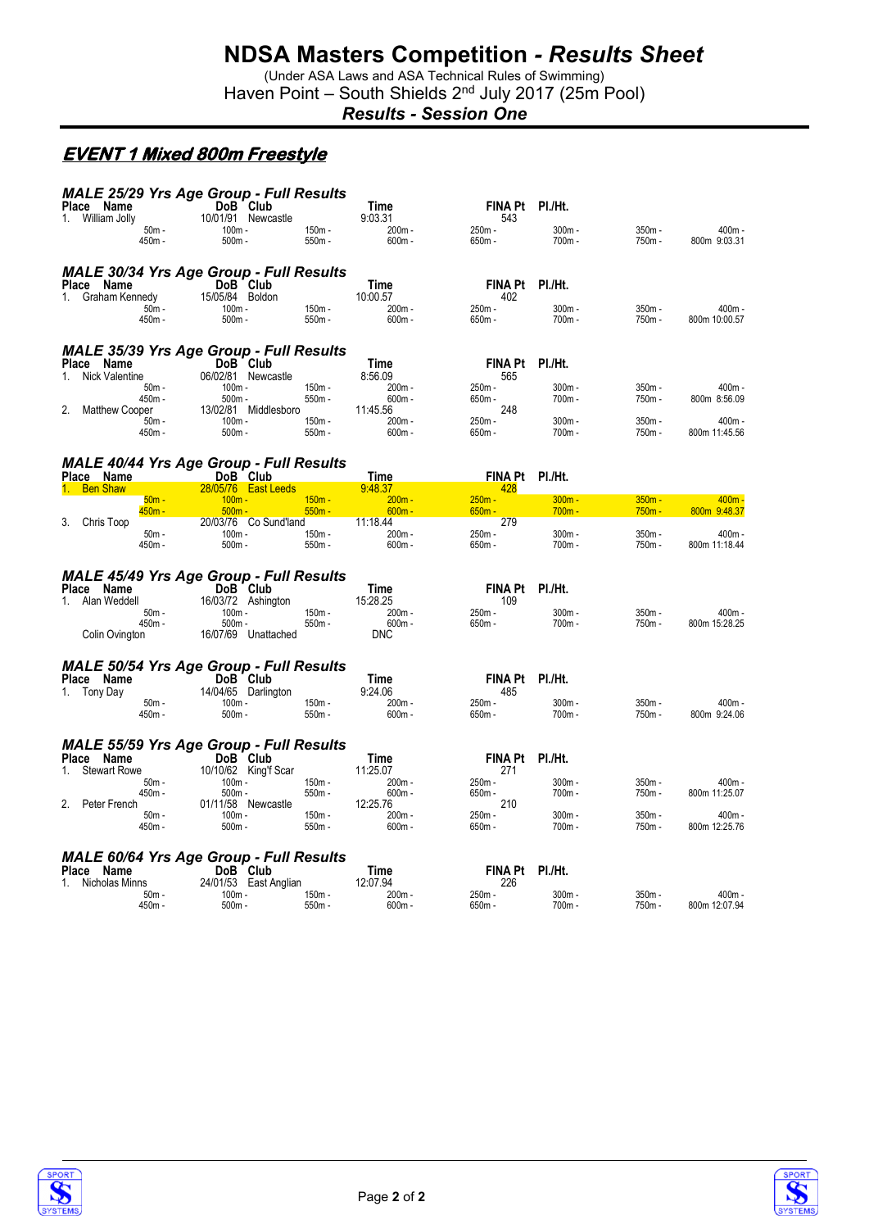(Under ASA Laws and ASA Technical Rules of Swimming) Haven Point - South Shields 2<sup>nd</sup> July 2017 (25m Pool)

*Results - Session One*

### **EVENT 1 Mixed 800m Freestyle**

| Place Name                                | MALE 25/29 Yrs Age Group - Full Results<br>DoB Club        |                      | Time                 | FINA Pt PI./Ht.        |                      |                      |                           |
|-------------------------------------------|------------------------------------------------------------|----------------------|----------------------|------------------------|----------------------|----------------------|---------------------------|
| 1. William Jolly                          | 10/01/91 Newcastle                                         |                      | 9:03.31              | 543                    |                      |                      |                           |
| $50m -$                                   | $100m -$                                                   | $150m -$             | 200m -               | 250m -                 | $300m -$             | $350m -$             | 400m -                    |
| 450m -                                    | $500m -$                                                   | $550m -$             | $600m -$             | 650m -                 | 700m-                | 750m-                | 800m 9:03.31              |
|                                           | <b>MALE 30/34 Yrs Age Group - Full Results</b>             |                      |                      |                        |                      |                      |                           |
| Place Name                                | DoB Club                                                   |                      | Time                 | FINA Pt PI./Ht.        |                      |                      |                           |
| 1. Graham Kennedy<br>$50m -$              | 15/05/84 Boldon<br>$100m -$                                | 150m -               | 10:00.57<br>200m -   | 402<br>250m -          | $300m -$             | 350m -               | 400m -                    |
| 450m -                                    | $500m -$                                                   | 550m -               | $600m -$             | 650m -                 | $700m -$             | 750m -               | 800m 10:00.57             |
|                                           |                                                            |                      |                      |                        |                      |                      |                           |
|                                           | MALE 35/39 Yrs Age Group - Full Results                    |                      |                      |                        |                      |                      |                           |
| Place Name<br><b>Nick Valentine</b><br>1. | DoB Club<br>06/02/81 Newcastle                             |                      | Time<br>8:56.09      | FINA Pt PI./Ht.<br>565 |                      |                      |                           |
| $50m -$                                   | $100m -$                                                   | $150m -$             | 200m-                | 250m -                 | $300m -$             | $350m -$             | 400m -                    |
| 450m -<br>2.<br>Matthew Cooper            | $500m -$<br>13/02/81 Middlesboro                           | $550m -$             | $600m -$<br>11:45.56 | $650m -$<br>248        | $700m -$             | 750m -               | 800m 8:56.09              |
| $50m -$                                   | $100m -$                                                   | 150m -               | 200m -               | 250m -                 | $300m -$             | 350m -               | $400m -$                  |
| 450m -                                    | $500m -$                                                   | $550m -$             | $600m -$             | 650m -                 | 700m-                | 750m -               | 800m 11:45.56             |
|                                           |                                                            |                      |                      |                        |                      |                      |                           |
| Place Name                                | <b>MALE 40/44 Yrs Age Group - Full Results</b><br>DoB Club |                      | <b>Time</b>          | FINA Pt PI./Ht.        |                      |                      |                           |
| <b>Ben Shaw</b>                           | 28/05/76 East Leeds                                        |                      | 9:48.37              | 428                    |                      |                      |                           |
| $50m -$<br>$450m -$                       | $100m -$<br>$500m -$                                       | $150m -$<br>$550m -$ | $200m -$<br>$600m -$ | $250m -$<br>$650m -$   | $300m -$<br>$700m -$ | $350m -$<br>$750m -$ | $400m -$<br>800m 9:48.37  |
| Chris Toop<br>3.                          | 20/03/76 Co Sund'land                                      |                      | 11:18.44             | 279                    |                      |                      |                           |
| $50m -$<br>450m -                         | $100m -$<br>$500m -$                                       | 150m -<br>$550m -$   | 200m-<br>$600m -$    | 250m -<br>$650m -$     | $300m -$<br>$700m -$ | 350m -<br>750m -     | 400m -<br>800m 11:18.44   |
|                                           |                                                            |                      |                      |                        |                      |                      |                           |
|                                           |                                                            |                      |                      |                        |                      |                      |                           |
|                                           |                                                            |                      |                      |                        |                      |                      |                           |
| Place Name                                | <b>MALE 45/49 Yrs Age Group - Full Results</b><br>DoB Club |                      | Time                 | FINA Pt PI./Ht.        |                      |                      |                           |
| Alan Weddell<br>1.                        | 16/03/72 Ashington                                         |                      | 15:28.25             | 109                    |                      |                      |                           |
| $50m -$<br>450m -                         | 100m -<br>$500m -$                                         | $150m -$<br>$550m -$ | $200m -$<br>$600m -$ | 250m -<br>$650m -$     | $300m -$<br>$700m -$ | $350m -$<br>750m -   | 400m -<br>800m 15:28.25   |
| Colin Ovington                            | 16/07/69 Unattached                                        |                      | <b>DNC</b>           |                        |                      |                      |                           |
|                                           |                                                            |                      |                      |                        |                      |                      |                           |
|                                           | <b>MALE 50/54 Yrs Age Group - Full Results</b>             |                      |                      |                        |                      |                      |                           |
| Place Name<br>1. Tony Day                 | DoB Club<br>14/04/65 Darlington                            |                      | Time<br>9:24.06      | FINA Pt PI./Ht.<br>485 |                      |                      |                           |
| $50m -$                                   | $100m -$                                                   | $150m -$             | 200m-                | 250m -                 | 300m-                | 350m -               | 400m -                    |
| 450m -                                    | $500m -$                                                   | $550m -$             | $600m -$             | $650m -$               | 700m -               | 750m -               | 800m 9:24.06              |
|                                           |                                                            |                      |                      |                        |                      |                      |                           |
| Place Name                                | <b>MALE 55/59 Yrs Age Group - Full Results</b><br>DoB Club |                      | Time                 | FINA Pt PI./Ht.        |                      |                      |                           |
| <b>Stewart Rowe</b><br>1.                 | 10/10/62 King'f Scar                                       |                      | 11:25.07             | 271                    |                      |                      |                           |
| $50m -$<br>450m -                         | $100m -$<br>$500m -$                                       | $150m -$<br>$550m -$ | $200m -$<br>$600m -$ | 250m -<br>650m -       | 300m-<br>700m-       | 350m -<br>750m-      | 400m -<br>800m 11:25.07   |
| 2.<br>Peter French                        | 01/11/58 Newcastle                                         |                      | 12:25.76             | 210                    |                      |                      |                           |
| $50m -$<br>450m -                         | $100m -$<br>$500m -$                                       | 150m -<br>$550m -$   | 200m-<br>$600m -$    | 250m -<br>$650m -$     | $300m -$<br>$700m -$ | $350m -$<br>750m -   | $400m -$<br>800m 12:25.76 |
|                                           |                                                            |                      |                      |                        |                      |                      |                           |
|                                           | <b>MALE 60/64 Yrs Age Group - Full Results</b>             |                      |                      |                        |                      |                      |                           |
| Place Name                                | DoB Club                                                   |                      | Time                 | FINA Pt PI./Ht.        |                      |                      |                           |
| Nicholas Minns<br>1.<br>$50m -$           | 24/01/53 East Anglian<br>$100m -$                          | $150m -$             | 12:07.94<br>$200m -$ | 226<br>$250m -$        | $300m -$             | 350m -               | $400m -$                  |

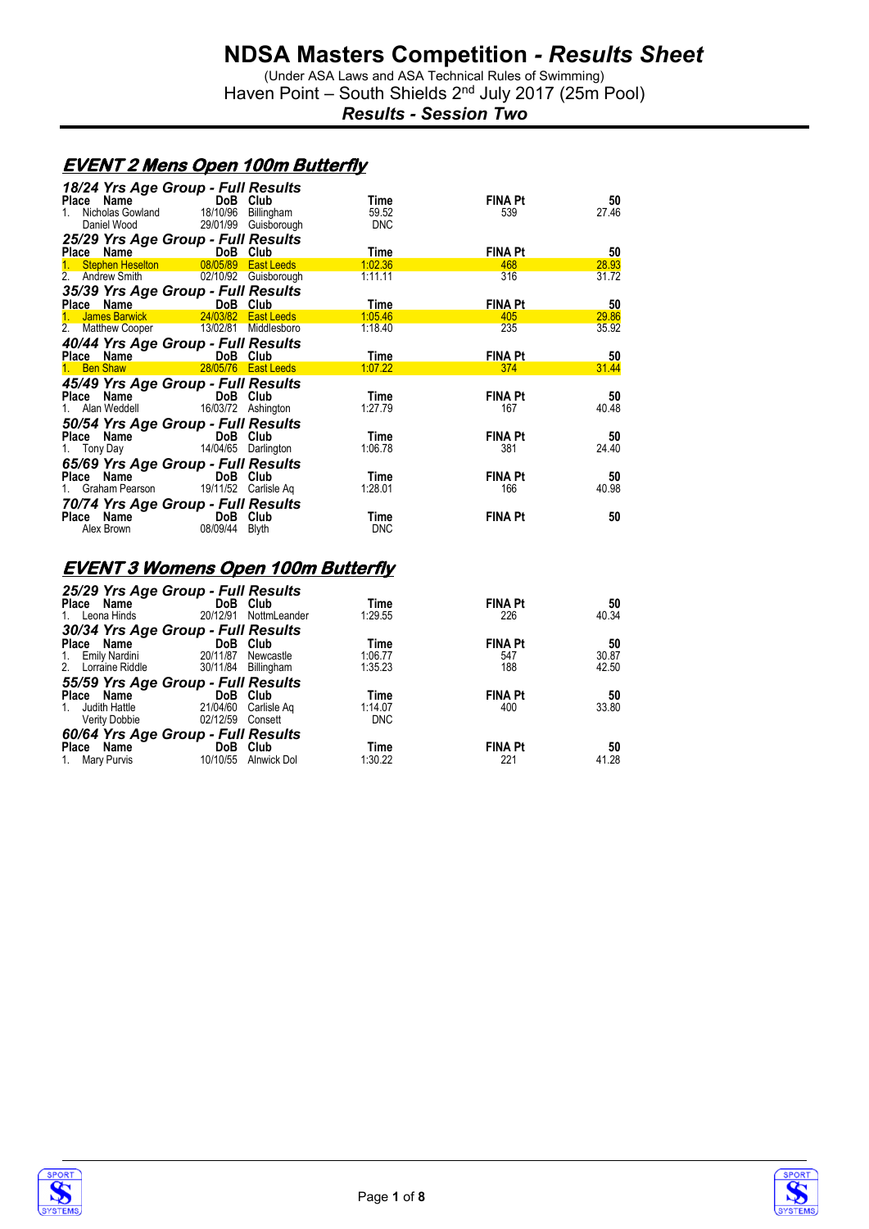(Under ASA Laws and ASA Technical Rules of Swimming) Haven Point - South Shields 2<sup>nd</sup> July 2017 (25m Pool)

*Results - Session Two*

#### **EVENT 2 Mens Open 100m Butterfly**

|             |             | 18/24 Yrs Age Group - Full Results      |            |                |       |
|-------------|-------------|-----------------------------------------|------------|----------------|-------|
| Place Name  |             | DoB Club                                | Time       | <b>FINA Pt</b> | 50    |
| $1_{\cdot}$ |             | Nicholas Gowland 18/10/96 Billingham    | 59.52      | 539            | 27.46 |
|             | Daniel Wood | 29/01/99 Guisborough                    | <b>DNC</b> |                |       |
|             |             | 25/29 Yrs Age Group - Full Results      |            |                |       |
| Place Name  |             | <b>Example 19 DoB</b> Club              | Time       | <b>FINA Pt</b> | 50    |
|             |             | 1. Stephen Heselton 08/05/89 East Leeds | 1:02.36    | 468            | 28.93 |
|             |             | 2. Andrew Smith 02/10/92 Guisborough    | 1:11.11    | 316            | 31.72 |
|             |             | 35/39 Yrs Age Group - Full Results      |            |                |       |
|             |             | Place Name DoB Club                     | Time       | <b>FINA Pt</b> | 50    |
|             |             | James Barwick 24/03/82 East Leeds       | 1:05.46    | 405            | 29.86 |
|             |             | 2. Matthew Cooper 13/02/81 Middlesboro  | 1:18.40    | 235            | 35.92 |
|             |             | 40/44 Yrs Age Group - Full Results      |            |                |       |
|             |             | Place Name DoB Club                     | Time       | <b>FINA Pt</b> | 50    |
|             | 1. Ben Shaw | 28/05/76 East Leeds                     | 1:07.22    | 374            | 31.44 |
|             |             | 45/49 Yrs Age Group - Full Results      |            |                |       |
|             |             | Place Name DoB Club                     | Time       | <b>FINA Pt</b> | 50    |
|             |             | 1. Alan Weddell 16/03/72 Ashington      | 1:27.79    | 167            | 40.48 |
|             |             | 50/54 Yrs Age Group - Full Results      |            |                |       |
|             | Place Name  | DoB Club                                | Time       | <b>FINA Pt</b> | 50    |
|             |             | 1. Tony Day 14/04/65 Darlington         | 1:06.78    | 381            | 24.40 |
|             |             | 65/69 Yrs Age Group - Full Results      |            |                |       |
| Place Name  |             | DoB Club                                | Time       | <b>FINA Pt</b> | 50    |
|             |             | 1. Graham Pearson 19/11/52 Carlisle Ag  | 1:28.01    | 166            | 40.98 |
|             |             |                                         |            |                |       |
|             |             | 70/74 Yrs Age Group - Full Results      |            |                |       |
|             |             | Place Name DoB Club                     | Time       | <b>FINA Pt</b> | 50    |
|             | Alex Brown  | 08/09/44 Blyth                          | <b>DNC</b> |                |       |
|             |             |                                         |            |                |       |

#### **EVENT 3 Womens Open 100m Butterfly**

| 25/29 Yrs Age Group - Full Results<br>Place Name |          | DoB Club            | Time       | <b>FINA Pt</b> | 50    |
|--------------------------------------------------|----------|---------------------|------------|----------------|-------|
| Leona Hinds<br>1.                                | 20/12/91 | NottmLeander        | 1:29.55    | 226            | 40.34 |
| 30/34 Yrs Age Group - Full Results               |          |                     |            |                |       |
| Place Name                                       | DoB Club |                     | Time       | <b>FINA Pt</b> | 50    |
| Emily Nardini<br>1.                              | 20/11/87 | Newcastle           | 1:06.77    | 547            | 30.87 |
| 2. Lorraine Riddle                               |          | 30/11/84 Billingham | 1:35.23    | 188            | 42.50 |
| 55/59 Yrs Age Group - Full Results               |          |                     |            |                |       |
| Place Name                                       |          | DoB Club            | Time       | <b>FINA Pt</b> | 50    |
| Judith Hattle<br>1.                              | 21/04/60 | Carlisle Ag         | 1:14.07    | 400            | 33.80 |
| Verity Dobbie                                    | 02/12/59 | Consett             | <b>DNC</b> |                |       |
| 60/64 Yrs Age Group - Full Results               |          |                     |            |                |       |
| Name<br>Place                                    |          | DoB Club            | Time       | <b>FINA Pt</b> | 50    |
| 1. Mary Purvis                                   | 10/10/55 | Alnwick Dol         | 1:30.22    | 221            | 41.28 |



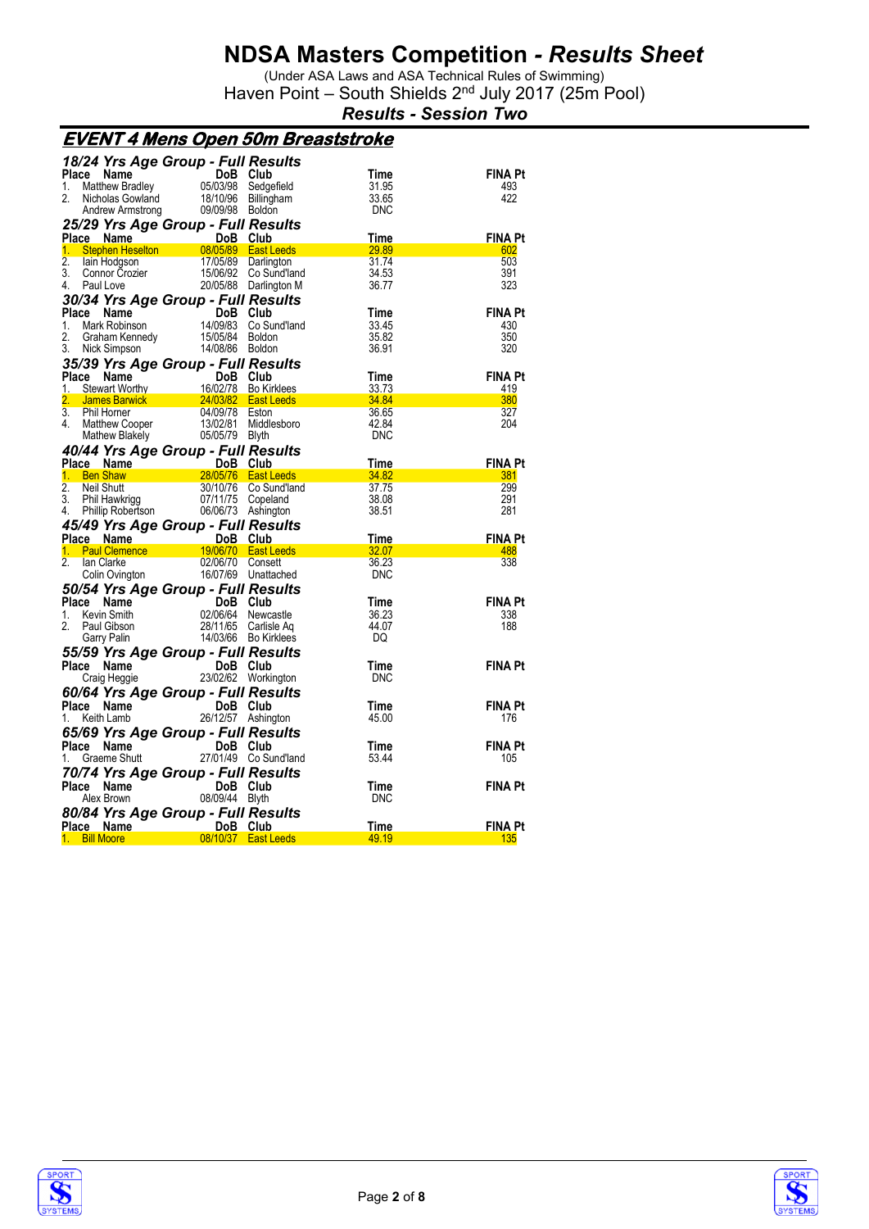(Under ASA Laws and ASA Technical Rules of Swimming) Haven Point - South Shields 2<sup>nd</sup> July 2017 (25m Pool)

*Results - Session Two*

| <u>EVENT 4 Mens Open 50m Breaststroke</u>       |                                   |                       |                   |                |
|-------------------------------------------------|-----------------------------------|-----------------------|-------------------|----------------|
| 18/24 Yrs Age Group - Full Results              |                                   |                       |                   |                |
| Place<br>Name                                   | DoB Club                          |                       | Time              | <b>FINA Pt</b> |
| 1.<br>Matthew Bradley                           | 05/03/98                          | Sedgefield            | 31.95             | 493            |
| 2.<br>Nicholas Gowland                          |                                   | 18/10/96 Billingham   | 33.65             | 422            |
| Andrew Armstrong                                | 09/09/98 Boldon                   |                       | <b>DNC</b>        |                |
|                                                 |                                   |                       |                   |                |
| 25/29 Yrs Age Group - Full Results              |                                   |                       |                   |                |
| Place Name                                      | <b>Example 19 DoB</b>             | Club                  | Time              | <b>FINA Pt</b> |
| $1_{-}$                                         |                                   |                       | 29.89             | 602            |
| $\overline{2}$ .<br>lain Hodgson                | 17/05/89                          | Darlington            | 31.74             | 503            |
| 3.<br>Connor Črozier<br>Paul Love               |                                   | 15/06/92 Co Sund'land | 34.53             | 391            |
| 4.<br>Paul Love                                 |                                   | 20/05/88 Darlington M | 36.77             | 323            |
| 30/34 Yrs Age Group - Full Results              |                                   |                       |                   |                |
| Place Name                                      | $\overline{\text{DoB}}$ Club      |                       | Time              | <b>FINA Pt</b> |
| 1.<br>Mark Robinson                             |                                   | 14/09/83 Co Sund'land | 33.45             | 430            |
| 2.<br>Graham Kennedy                            | 15/05/84 Boldon                   |                       | 35.82             | 350            |
| 3.<br>Nick Simpson                              | 14/08/86 Boldon                   |                       | 36.91             | 320            |
|                                                 |                                   |                       |                   |                |
| 35/39 Yrs Age Group - Full Results              |                                   |                       |                   |                |
| Place<br>Name                                   | DoB Club                          |                       | Time              | <b>FINA Pt</b> |
| 1.<br>Stewart Worthy                            |                                   | 16/02/78 Bo Kirklees  | 33.73             | 419            |
| $\overline{2}$ .                                | James Barwick 24/03/82 East Leeds |                       | 34.84             | 380            |
| $\overline{3}$ .<br>Phil Horner                 | 04/09/78 Eston                    |                       | 36.65             | 327            |
| 4.<br>Matthew Cooper<br>Mathew Blakely          | 13/02/81                          | Middlesboro           | 42.84             | 204            |
|                                                 | 05/05/79 Blyth                    |                       | <b>DNC</b>        |                |
| 40/44 Yrs Age Group - Full Results              |                                   |                       |                   |                |
|                                                 | DoB Club                          |                       | Time              | <b>FINA Pt</b> |
| Place Name<br>1. Ben Shaw 28                    |                                   | 28/05/76 East Leeds   | $\frac{34.82}{ }$ | 381            |
| $\overline{2}$ .<br><b>Neil Shutt</b>           |                                   | 30/10/76 Co Sund'land | 37.75             | 299            |
| 3.<br>Phil Hawkrigg                             | 07/11/75 Copeland                 |                       | 38.08             | 291            |
| Phillip Robertson<br>4.                         | 06/06/73 Ashington                |                       | 38.51             | 281            |
| 45/49 Yrs Age Group - Full Results              |                                   |                       |                   |                |
| Place Name                                      | DoB Club                          |                       | Time              | <b>FINA Pt</b> |
| <b>ce Name</b><br><b>Paul Clemence</b> 19<br>1. |                                   | 19/06/70   East Leeds | 32.07             | 488            |
| 2.<br>lan Clarke                                | 02/06/70 Consett                  |                       | 36.23             | 338            |
|                                                 |                                   | 16/07/69 Unattached   | <b>DNC</b>        |                |
| Colin Ovington                                  |                                   |                       |                   |                |
| 50/54 Yrs Age Group - Full Results              |                                   |                       |                   |                |
| Place Name                                      | DoB Club                          |                       | Time              | <b>FINA Pt</b> |
| Kevin Smith<br>1.                               |                                   | 02/06/64 Newcastle    | 36.23             | 338            |
| 2<br>Paul Gibson                                |                                   | 28/11/65 Carlisle Ag  | 44.07             | 188            |
| Garry Palin                                     |                                   | 14/03/66 Bo Kirklees  | DQ                |                |
| 55/59 Yrs Age Group - Full Results              |                                   |                       |                   |                |
| Place Name                                      | DoB Club                          |                       | Time              | <b>FINA Pt</b> |
| Craig Heggie                                    |                                   | 23/02/62 Workington   | <b>DNC</b>        |                |
| 60/64 Yrs Age Group - Full Results              |                                   |                       |                   |                |
|                                                 |                                   |                       |                   |                |
| Place Name                                      | DoB Club                          |                       | Time              | <b>FINA Pt</b> |
| Keith Lamb<br>1.                                | 26/12/57 Ashington                |                       | 45.00             | 176            |
| 65/69 Yrs Age Group - Full Results              |                                   |                       |                   |                |
| Place<br>Name                                   | DoB Club                          |                       | Time              | <b>FINA Pt</b> |
| Graeme Shutt<br>1.                              |                                   | 27/01/49 Co Sund'land | 53.44             | 105            |
| 70/74 Yrs Age Group - Full Results              |                                   |                       |                   |                |
| Place Name                                      | DoB Club                          |                       | <b>Time</b>       | <b>FINA Pt</b> |
| Alex Brown                                      | 08/09/44                          | Blyth                 | <b>DNC</b>        |                |
|                                                 |                                   |                       |                   |                |
| 80/84 Yrs Age Group - Full Results              |                                   |                       |                   |                |
| Place Name                                      | DoB Club                          |                       | <b>Time</b>       | <b>FINA Pt</b> |
| 1. Bill Moore                                   |                                   | 08/10/37 East Leeds   | 49.19             | <b>135</b>     |



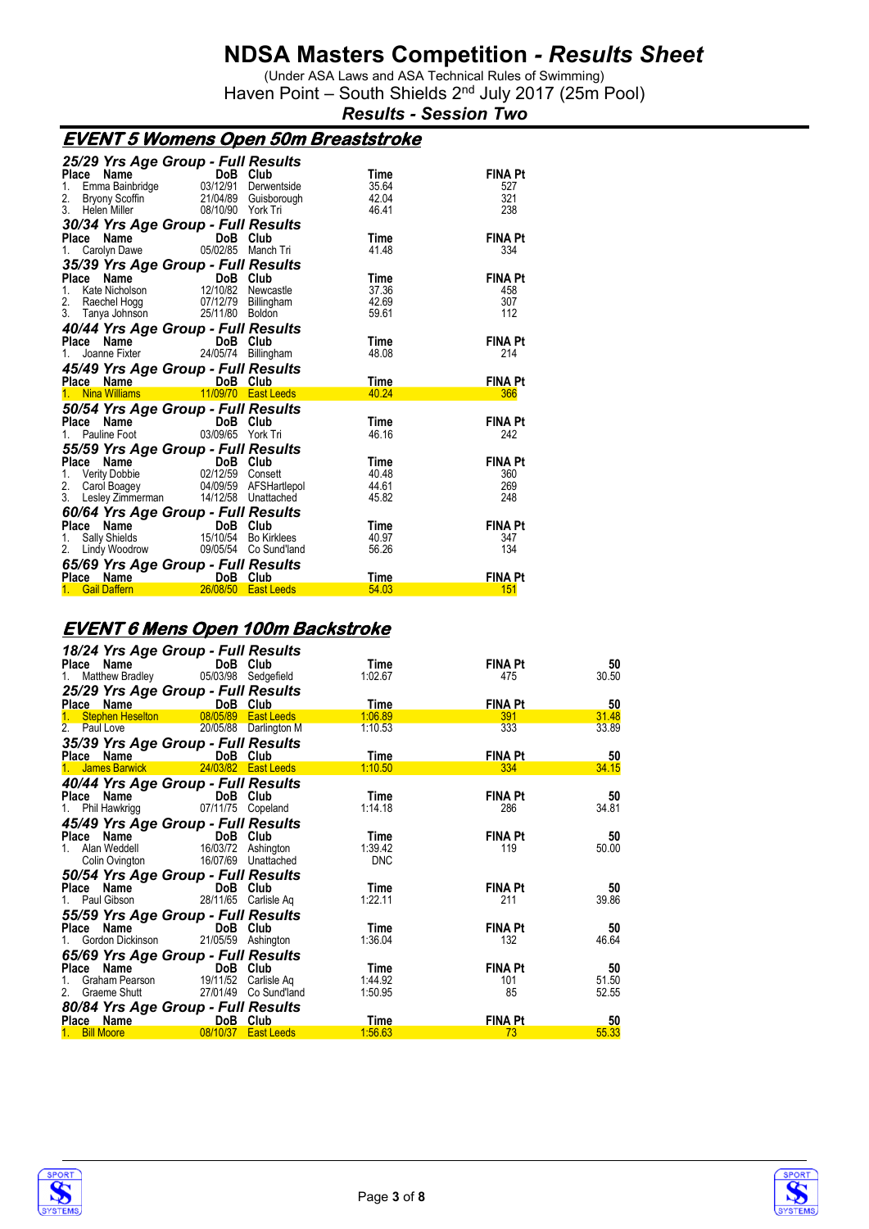(Under ASA Laws and ASA Technical Rules of Swimming) Haven Point - South Shields 2<sup>nd</sup> July 2017 (25m Pool)

*Results - Session Two*

### **EVENT 5 Womens Open 50m Breaststroke**

| 25/29 Yrs Age Group - Full Results                                                                                                                                                                                                                                                                                                                                                                                                                    |                                                                                                                 |                       |                |                       |
|-------------------------------------------------------------------------------------------------------------------------------------------------------------------------------------------------------------------------------------------------------------------------------------------------------------------------------------------------------------------------------------------------------------------------------------------------------|-----------------------------------------------------------------------------------------------------------------|-----------------------|----------------|-----------------------|
| Place Name<br>1. Emma Bainbridge 03/12/91 Derwentside                                                                                                                                                                                                                                                                                                                                                                                                 |                                                                                                                 |                       | Time           | FINA Pt               |
|                                                                                                                                                                                                                                                                                                                                                                                                                                                       |                                                                                                                 |                       | 35.64          | 527<br>321            |
| 2.<br>3 <sub>1</sub><br>Helen Miller                                                                                                                                                                                                                                                                                                                                                                                                                  | Bryony Scoffin <sup>~</sup> 21/04/89 Guisborough<br>Helen Miller        08/10/90  York Tri<br>08/10/90 York Tri |                       | 42.04<br>46.41 | 238                   |
|                                                                                                                                                                                                                                                                                                                                                                                                                                                       |                                                                                                                 |                       |                |                       |
| 30/34 Yrs Age Group - Full Results                                                                                                                                                                                                                                                                                                                                                                                                                    |                                                                                                                 |                       |                |                       |
| Place Name                                                                                                                                                                                                                                                                                                                                                                                                                                            | DoB Club                                                                                                        |                       | <b>Time</b>    | <b>FINA Pt</b>        |
| $\begin{array}{ccc}\n\mathbf{c} & \mathbf{n} & \mathbf{a} & \mathbf{m} \\ \text{Carolyn Dave} & & & \mathbf{a} \\ \mathbf{a} & \mathbf{a} & \mathbf{a} \\ \mathbf{b} & \mathbf{a} & \mathbf{a} \\ \mathbf{b} & \mathbf{a} & \mathbf{a} \\ \mathbf{b} & \mathbf{a} & \mathbf{a} \\ \mathbf{b} & \mathbf{a} & \mathbf{a} \\ \mathbf{b} & \mathbf{a} & \mathbf{a} \\ \mathbf{b} & \mathbf{a} & \mathbf{a} \\ \mathbf{b} & \mathbf{a} & \mathbf{a}$<br>1. | 05/02/85 Manch Tri                                                                                              |                       | 41.48          | 334                   |
| 35/39 Yrs Age Group - Full Results                                                                                                                                                                                                                                                                                                                                                                                                                    |                                                                                                                 |                       |                |                       |
| Place                                                                                                                                                                                                                                                                                                                                                                                                                                                 | <b>Ce Name</b><br>Kate Nicholson <b>12/10/82</b> Newca                                                          |                       | Time           | <b>FINA Pt</b>        |
| 1.                                                                                                                                                                                                                                                                                                                                                                                                                                                    |                                                                                                                 | Newcastle             | 37.36          | 458                   |
| 2. Raechel Hogg 07/12/79<br>3. Tanya Johnson 25/11/80                                                                                                                                                                                                                                                                                                                                                                                                 |                                                                                                                 | Billingham            | 42.69          | 307                   |
|                                                                                                                                                                                                                                                                                                                                                                                                                                                       |                                                                                                                 | Boldon                | 59.61          | 112                   |
| 40/44 Yrs Age Group - Full Results                                                                                                                                                                                                                                                                                                                                                                                                                    |                                                                                                                 |                       |                |                       |
| <b>Place Name COVID-1</b> DoB Club<br>1. Joanne Fixter 24/05/74 Billingham                                                                                                                                                                                                                                                                                                                                                                            |                                                                                                                 |                       | Time           | <b>FINA Pt</b>        |
|                                                                                                                                                                                                                                                                                                                                                                                                                                                       |                                                                                                                 |                       | 48.08          | 214                   |
| 45/49 Yrs Age Group - Full Results                                                                                                                                                                                                                                                                                                                                                                                                                    |                                                                                                                 |                       |                |                       |
|                                                                                                                                                                                                                                                                                                                                                                                                                                                       |                                                                                                                 |                       |                |                       |
|                                                                                                                                                                                                                                                                                                                                                                                                                                                       |                                                                                                                 |                       | Time           | <b>FINA Pt</b>        |
|                                                                                                                                                                                                                                                                                                                                                                                                                                                       |                                                                                                                 |                       | 40.24          | 366                   |
| Place Name 100B Club<br>1 Nina Williams 11/09/70 East Leeds                                                                                                                                                                                                                                                                                                                                                                                           |                                                                                                                 |                       |                |                       |
| 50/54 Yrs Age Group - Full Results                                                                                                                                                                                                                                                                                                                                                                                                                    |                                                                                                                 |                       |                |                       |
|                                                                                                                                                                                                                                                                                                                                                                                                                                                       | DoB Club                                                                                                        |                       | Time<br>46.16  | <b>FINA Pt</b><br>242 |
| Place Name<br>1. Pauline Foot 03/                                                                                                                                                                                                                                                                                                                                                                                                                     | 03/09/65 York Tri                                                                                               |                       |                |                       |
|                                                                                                                                                                                                                                                                                                                                                                                                                                                       |                                                                                                                 |                       | Time           | <b>FINA Pt</b>        |
|                                                                                                                                                                                                                                                                                                                                                                                                                                                       |                                                                                                                 |                       | 40.48          | 360                   |
| 55/59 Yrs Age Group - Full Results<br>Place Name DoB Club<br>1. Verity Dobbie 02/12/59 Consett<br>2.                                                                                                                                                                                                                                                                                                                                                  |                                                                                                                 |                       | 44.61          | 269                   |
| 3. Lesley Zimmerman 14/12/58 Unattached                                                                                                                                                                                                                                                                                                                                                                                                               | Carol Boagey 04/09/59 AFSHartlepol                                                                              |                       | 45.82          | 248                   |
|                                                                                                                                                                                                                                                                                                                                                                                                                                                       |                                                                                                                 |                       |                |                       |
| 60/64 Yrs Age Group - Full Results<br>Place Name                                                                                                                                                                                                                                                                                                                                                                                                      |                                                                                                                 |                       | Time           | <b>FINA Pt</b>        |
| Sally Shields<br>1.                                                                                                                                                                                                                                                                                                                                                                                                                                   |                                                                                                                 |                       | 40.97          | 347                   |
| 2. Lindy Woodrow                                                                                                                                                                                                                                                                                                                                                                                                                                      | DoB Club<br>15/10/54 Bo Kirklees                                                                                | 09/05/54 Co Sund'land | 56.26          | 134                   |
|                                                                                                                                                                                                                                                                                                                                                                                                                                                       |                                                                                                                 |                       |                |                       |
| 65/69 Yrs Age Group - Full Results<br>Place Name DoB Club<br>1 Gail Daffern 28/08/50 East Leeds                                                                                                                                                                                                                                                                                                                                                       |                                                                                                                 |                       | Time           | FINA Pt               |

#### **EVENT 6 Mens Open 100m Backstroke**

|               |                                                                                                               | 18/24 Yrs Age Group - Full Results     |                       |            |                |       |
|---------------|---------------------------------------------------------------------------------------------------------------|----------------------------------------|-----------------------|------------|----------------|-------|
|               | Place Name                                                                                                    | DoB Club                               |                       | Time       | <b>FINA Pt</b> | 50    |
|               |                                                                                                               | Matthew Bradley 05/03/98 Sedgefield    |                       | 1:02.67    | 475            | 30.50 |
|               |                                                                                                               | 25/29 Yrs Age Group - Full Results     |                       |            |                |       |
| Place         | Name                                                                                                          | DoB Club                               |                       | Time       | <b>FINA Pt</b> | 50    |
|               | 1. Stephen Heselton                                                                                           | 08/05/89 East Leeds                    |                       | 1:06.89    | 391            | 31.48 |
| 2. Paul Love  |                                                                                                               |                                        | 20/05/88 Darlington M | 1:10.53    | 333            | 33.89 |
|               |                                                                                                               | 35/39 Yrs Age Group - Full Results     |                       |            |                |       |
| Place Name    |                                                                                                               | DoB Club                               |                       | Time       | <b>FINA Pt</b> | 50    |
|               | 1. James Barwick                                                                                              | 24/03/82 East Leeds                    |                       | 1:10.50    | 334            | 34.15 |
|               |                                                                                                               | 40/44 Yrs Age Group - Full Results     |                       |            |                |       |
|               | Place Name                                                                                                    | <b>Example 19 DoB</b> Club             |                       | Time       | <b>FINA Pt</b> | 50    |
|               | 1. Phil Hawkrigg                                                                                              | 07/11/75 Copeland                      |                       | 1:14.18    | 286            | 34.81 |
|               |                                                                                                               | 45/49 Yrs Age Group - Full Results     |                       |            |                |       |
|               |                                                                                                               | Place Name DoB Club                    |                       | Time       | <b>FINA Pt</b> | 50    |
|               | 1. Alan Weddell                                                                                               | 16/03/72 Ashington                     |                       | 1:39.42    | 119            | 50.00 |
|               | Colin Ovington                                                                                                | 16/07/69 Unattached                    |                       | <b>DNC</b> |                |       |
|               |                                                                                                               | 50/54 Yrs Age Group - Full Results     |                       |            |                |       |
|               | Place Name                                                                                                    | DoB Club                               |                       | Time       | <b>FINA Pt</b> | 50    |
|               | 1. Paul Gibson                                                                                                |                                        | 28/11/65 Carlisle Ag  | 1:22.11    | 211            | 39.86 |
|               |                                                                                                               | 55/59 Yrs Age Group - Full Results     |                       |            |                |       |
|               | Place Name                                                                                                    | DoB Club                               |                       | Time       | <b>FINA Pt</b> | 50    |
|               | 1. Gordon Dickinson                                                                                           |                                        | 21/05/59 Ashington    | 1:36.04    | 132            | 46.64 |
|               |                                                                                                               | 65/69 Yrs Age Group - Full Results     |                       |            |                |       |
| Place         | Name                                                                                                          | DoB Club                               |                       | Time       | <b>FINA Pt</b> | 50    |
|               |                                                                                                               | 1. Graham Pearson 19/11/52 Carlisle Ag |                       | 1:44.92    | 101            | 51.50 |
|               | 2. Graeme Shutt                                                                                               | 27/01/49 Co Sund'land                  |                       | 1:50.95    | 85             | 52.55 |
|               |                                                                                                               | 80/84 Yrs Age Group - Full Results     |                       |            |                |       |
|               | Place Name and the place of the state of the state of the state of the state of the state of the state of the | DoB Club                               |                       | Time       | <b>FINA Pt</b> | 50    |
| 1. Bill Moore |                                                                                                               | 08/10/37 East Leeds                    |                       | 1:56.63    | 73             | 55.33 |



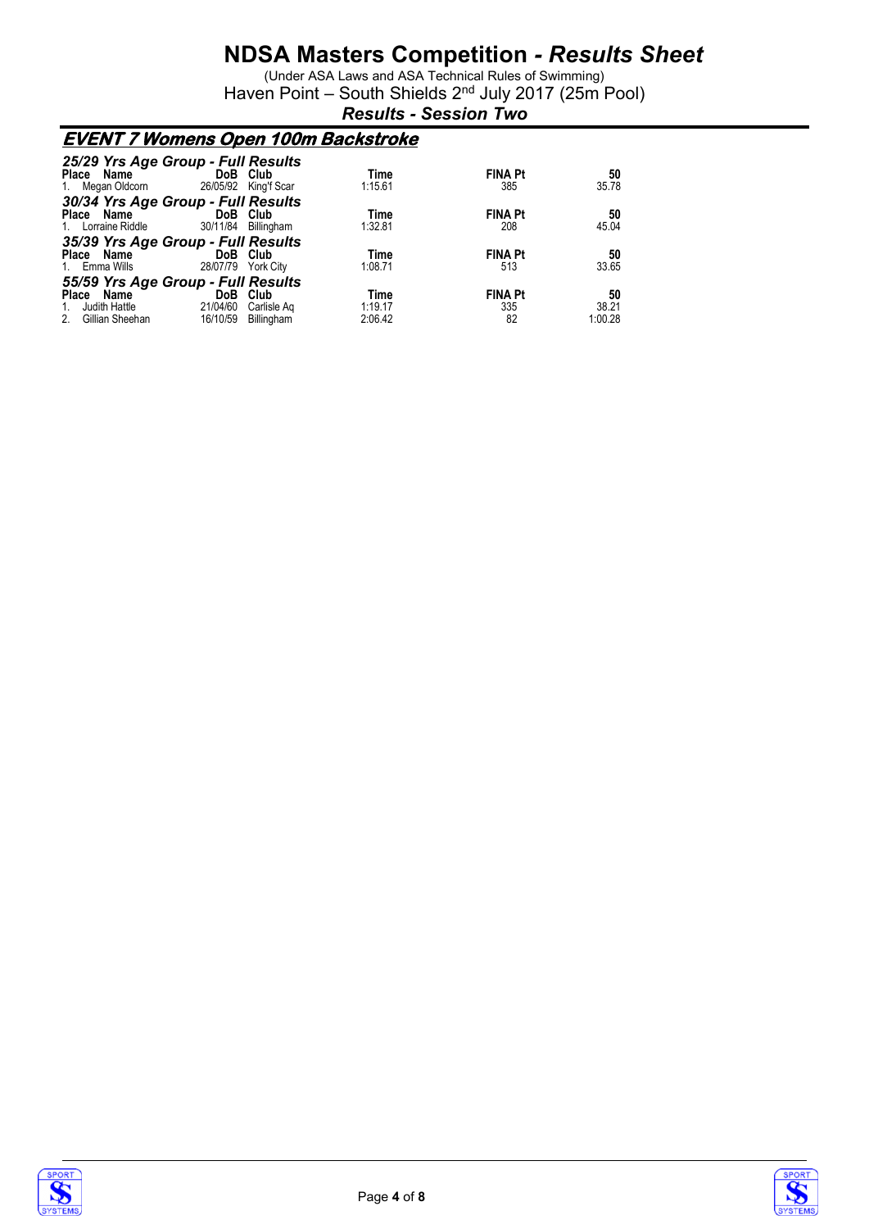(Under ASA Laws and ASA Technical Rules of Swimming) Haven Point - South Shields 2<sup>nd</sup> July 2017 (25m Pool)

*Results - Session Two*

### **EVENT 7 Womens Open 100m Backstroke**

| 25/29 Yrs Age Group - Full Results     |                            |                        |                |         |
|----------------------------------------|----------------------------|------------------------|----------------|---------|
| Place Name                             | DoB Club                   | Time                   | <b>FINA Pt</b> | 50      |
| 1. Megan Oldcorn 26/05/92 King'f Scar  |                            | 1:15.61                | 385            | 35.78   |
| 30/34 Yrs Age Group - Full Results     |                            |                        |                |         |
| Place Name                             | <b>Example 19 DoB</b> Club | Time                   | <b>FINA Pt</b> | 50      |
| 1. Lorraine Riddle 30/11/84 Billingham |                            | 1:32.81                | 208            | 45.04   |
| 35/39 Yrs Age Group - Full Results     |                            |                        |                |         |
| Place Name                             | DoB Club                   | Time                   | <b>FINA Pt</b> | 50      |
| 1. Emma Wills                          | 28/07/79                   | 1:08.71<br>York City   | 513            | 33.65   |
| 55/59 Yrs Age Group - Full Results     |                            |                        |                |         |
| Place Name                             | DoB Club                   | Time                   | <b>FINA Pt</b> | 50      |
| Judith Hattle<br>1.                    | 21/04/60                   | 1:19.17<br>Carlisle Ag | 335            | 38.21   |
| Gillian Sheehan<br>2.                  | 16/10/59 Billingham        | 2:06.42                | 82             | 1:00.28 |



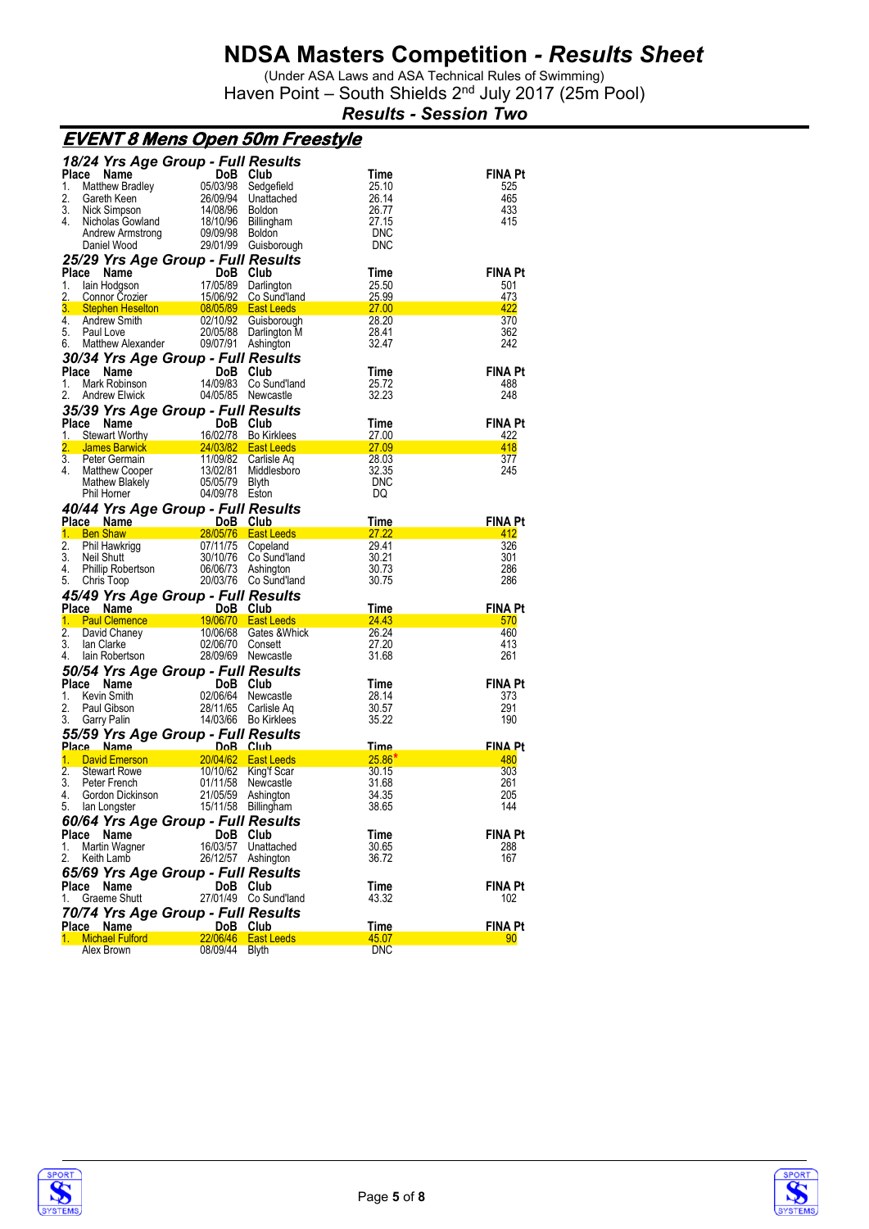(Under ASA Laws and ASA Technical Rules of Swimming) Haven Point - South Shields 2<sup>nd</sup> July 2017 (25m Pool)

*Results - Session Two*

|                                                   | <u>EVENT 8 Mens Open 50m Freestyle</u>    |                                             |                   |                       |
|---------------------------------------------------|-------------------------------------------|---------------------------------------------|-------------------|-----------------------|
|                                                   | 18/24 Yrs Age Group - Full Results        |                                             |                   |                       |
| Place Name                                        | DoB Club                                  |                                             | Time              | FINA Pt               |
| 1.<br>Matthew Bradley                             | 05/03/98                                  | Sedgefield                                  | 25.10             | 525                   |
| 2.<br>Gareth Keen                                 | 26/09/94                                  | Unattached                                  | 26.14             | 465                   |
| 3.<br>Nick Simpson                                | 14/08/96                                  | <b>Boldon</b>                               | 26.77             | 433                   |
| 4.<br>Nicholas Gowland                            | 18/10/96                                  | Billingham                                  | 27.15             | 415                   |
| Andrew Armstrong<br>Daniel Wood                   | 09/09/98                                  | <b>Boldon</b><br>29/01/99 Guisborough       | DNC<br><b>DNC</b> |                       |
|                                                   |                                           |                                             |                   |                       |
|                                                   | 25/29 Yrs Age Group - Full Results        |                                             |                   |                       |
| Place Name                                        | DoB Club                                  |                                             | Time              | FINA Pt               |
| 1.<br>lain Hodgson<br>2.<br><b>Connor Crozier</b> | 17/05/89<br>15/06/92                      | Darlington<br>Co Sund'land                  | 25.50<br>25.99    | 501<br>473            |
| 3.<br><b>Stephen Heselton</b>                     | 08/05/89                                  | <b>East Leeds</b>                           | 27.00             | 422                   |
| 4.<br>Andrew Smith                                | 02/10/92                                  | Guisborough                                 | 28.20             | 370                   |
| 5.<br>Paul Love                                   |                                           | 20/05/88 Darlington M                       | 28.41             | 362                   |
| Matthew Alexander<br>6.                           | 09/07/91                                  | Ashington                                   | 32.47             | 242                   |
|                                                   | 30/34 Yrs Age Group - Full Results        |                                             |                   |                       |
| Place<br>Name                                     | DoB.                                      | Club                                        | Time              | <b>FINA Pt</b>        |
| Mark Robinson<br>1.                               | 14/09/83                                  | Co Sund'land                                | 25.72             | 488                   |
| 2.<br><b>Andrew Elwick</b>                        |                                           | 04/05/85 Newcastle                          | 32.23             | 248                   |
|                                                   | 35/39 Yrs Age Group - Full Results        |                                             |                   |                       |
| Place<br><b>Name</b>                              | DoB                                       | Club                                        | Time              | <b>FINA Pt</b>        |
| Stewart Worthy<br>1.                              |                                           | 16/02/78 Bo Kirklees                        | 27.00             | 422                   |
| 2.<br><b>James Barwick Management</b>             |                                           | 24/03/82  East Leeds                        | 27.09             | 418                   |
| 3.<br>Peter Germain                               | 11/09/82                                  | Carlisle Aq                                 | 28.03             | 377                   |
| 4.<br>Matthew Cooper                              | 13/02/81                                  | Middlesboro                                 | 32.35             | 245                   |
| Mathew Blakely<br>Phil Horner                     | 05/05/79                                  | Blyth                                       | <b>DNC</b>        |                       |
|                                                   | 04/09/78 Eston                            |                                             | DQ                |                       |
|                                                   | 40/44 Yrs Age Group - Full Results        |                                             |                   |                       |
| Place Name                                        | DoB Club<br>$\sim$ $\sim$ 2               |                                             | Time              | <b>FINA Pt</b>        |
| 1. Ben Shaw<br>2.<br>Phil Hawkrigg                | 07/11/75                                  | 28/05/76  East Leeds<br>Copeland            | 27.22<br>29.41    | 412<br>326            |
|                                                   |                                           |                                             |                   |                       |
|                                                   |                                           |                                             |                   |                       |
| 3.<br>Neil Shutt                                  |                                           | 30/10/76 Co Sund'land                       | 30.21             | 301                   |
| 4.<br>Phillip Robertson<br>5.<br>Chris Toop       |                                           | 06/06/73 Ashington<br>20/03/76 Co Sund'land | 30.73<br>30.75    | 286<br>286            |
|                                                   |                                           |                                             |                   |                       |
|                                                   | 45/49 Yrs Age Group - Full Results        |                                             |                   |                       |
| Place Name<br>1. Paul Clemence                    | DoB                                       | Club<br>19/06/70 East Leeds                 | Time<br>24.43     | <b>FINA Pt</b><br>570 |
| 2.<br>David Chaney                                | 10/06/68                                  | Gates & Whick                               | 26.24             | 460                   |
| 3.<br>lan Clarke                                  | 02/06/70                                  | Consett                                     | 27.20             | 413                   |
| 4.<br>lain Robertson                              |                                           | 28/09/69 Newcastle                          | 31.68             | 261                   |
|                                                   | 50/54 Yrs Age Group - Full Results        |                                             |                   |                       |
| Place Name                                        | DoB                                       | Club                                        | Time              | <b>FINA Pt</b>        |
| 1.<br>Kevin Smith                                 | 02/06/64                                  | Newcastle                                   | 28.14             | 373                   |
| 2.<br>Paul Gibson                                 |                                           | 28/11/65 Carlisle Aq                        | 30.57             | 291                   |
| 3.<br>Garry Palin                                 |                                           | 14/03/66 Bo Kirklees                        | 35.22             | 190                   |
|                                                   | 55/59 Yrs Age Group - Full Results        |                                             |                   |                       |
| Place Name                                        | $D_0R$                                    | $Cl$ uh                                     | Time              | <b>FINA Pt</b>        |
| 1.<br><b>David Emerson</b>                        | 20/04/62                                  | <b>East Leeds</b>                           | $25.86*$          | 480                   |
| 2.<br><b>Stewart Rowe</b>                         | 10/10/62                                  | King'f Scar                                 | 30.15             | 303                   |
| 3.<br>Peter French                                | 01/11/58                                  | Newcastle                                   | 31.68             | 261                   |
| 4.<br>Gordon Dickinson<br>5.                      | 21/05/59                                  | Ashington                                   | 34.35<br>38.65    | 205<br>144            |
| lan Longster                                      |                                           | 15/11/58 Billingham                         |                   |                       |
|                                                   | 60/64 Yrs Age Group - Full Results        |                                             |                   |                       |
| Place<br>Name<br>1.                               | DoB.                                      | Club                                        | Time              | FINA Pt               |
| Martin Wagner<br>2.<br>Keith Lamb                 | 16/03/57                                  | Unattached<br>26/12/57 Ashington            | 30.65<br>36.72    | 288<br>167            |
|                                                   |                                           |                                             |                   |                       |
| Place<br>Name                                     | 65/69 Yrs Age Group - Full Results<br>DoB | Club                                        | Time              | FINA Pt               |
| Graeme Shutt<br>1.                                |                                           | 27/01/49 Co Sund'land                       | 43.32             | 102                   |
|                                                   |                                           |                                             |                   |                       |
|                                                   | 70/74 Yrs Age Group - Full Results        |                                             |                   |                       |
| Place Name<br><b>Michael Fulford</b><br>1.        | DoB Club<br>22/06/46                      | <b>East Leeds</b>                           | Time<br>45.07     | FINA Pt<br>90         |



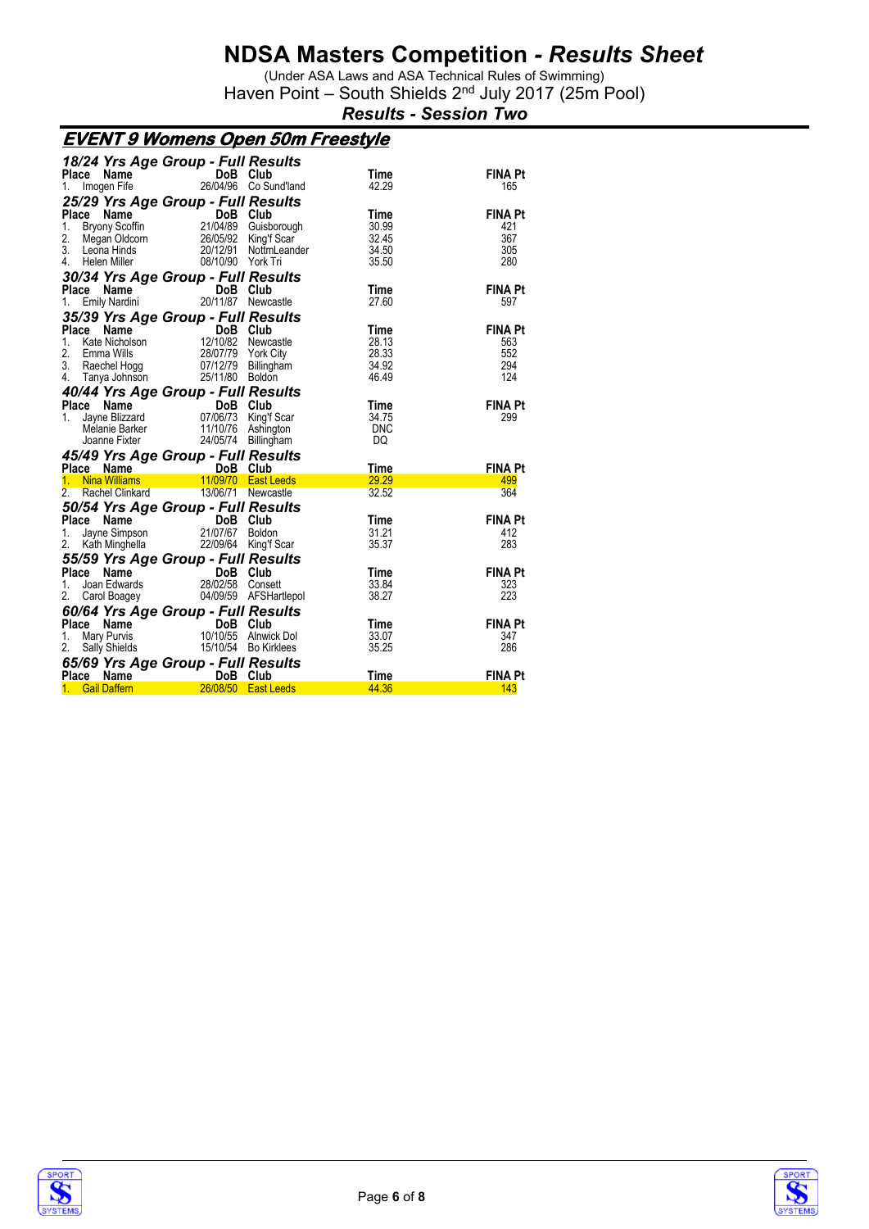(Under ASA Laws and ASA Technical Rules of Swimming) Haven Point - South Shields 2<sup>nd</sup> July 2017 (25m Pool)

*Results - Session Two*

### **EVENT 9 Womens Open 50m Freestyle**

|                                                                                  | 18/24 Yrs Age Group - Full Results |                                  |                      |                       |
|----------------------------------------------------------------------------------|------------------------------------|----------------------------------|----------------------|-----------------------|
| Place Name                                                                       | DoB Club                           | 26/04/96 Co Sund'land            | Time<br>42.29        | <b>FINA Pt</b><br>165 |
| Imogen Fife<br>1.                                                                |                                    |                                  |                      |                       |
| 25/29 Yrs Age Group - Full Results<br>Place                                      |                                    |                                  |                      |                       |
| Name<br>1.<br><b>Bryony Scoffin</b>                                              | $\overline{\text{DoB}}$ Club       | Guisborough                      | <b>Time</b><br>30.99 | <b>FINA Pt</b><br>421 |
| 2.<br>Megan Oldcorn                                                              | 26/05/92                           | King'f Scar                      | 32.45                | 367                   |
| 3.<br>Leona Hinds                                                                | 20/12/91                           | NottmLeander                     | 34.50                | 305                   |
| 4. Helen Miller                                                                  | 08/10/90 York Tri                  |                                  | 35.50                | 280                   |
| 30/34 Yrs Age Group - Full Results                                               |                                    |                                  |                      |                       |
| Place Name                                                                       | DoB Club<br>$\frac{1}{20}$         |                                  | Time                 | <b>FINA Pt</b>        |
| Emily Nardini<br>1.                                                              |                                    | 20/11/87 Newcastle               | 27.60                | 597                   |
| 35/39 Yrs Age Group - Full Results                                               |                                    |                                  |                      |                       |
| Place<br>Name                                                                    | $\overline{D}$ oB Club             |                                  | Time                 | <b>FINA Pt</b>        |
| Kate Nicholson<br>1.                                                             |                                    | 12/10/82 Newcastle               | 28.13                | 563                   |
| 2.<br>Emma Wills<br>3.<br>Raechel Hogg                                           | 28/07/79                           | York City<br>07/12/79 Billingham | 28.33<br>34.92       | 552<br>294            |
| 4. Tanya Johnson                                                                 | 25/11/80 Boldon                    |                                  | 46.49                | 124                   |
| 40/44 Yrs Age Group - Full Results                                               |                                    |                                  |                      |                       |
| Place                                                                            | DoB Club                           |                                  | Time                 | <b>FINA Pt</b>        |
| <b>Ce Name</b><br>Jayne Blizzard 07/<br>1.                                       |                                    | 07/06/73 King'f Scar             | 34.75                | 299                   |
|                                                                                  |                                    |                                  |                      |                       |
| Melanie Barker                                                                   |                                    | 11/10/76 Ashington               | <b>DNC</b>           |                       |
| Joanne Fixter                                                                    | 24/05/74                           | Billingham                       | DQ                   |                       |
| 45/49 Yrs Age Group - Full Results                                               |                                    |                                  |                      |                       |
| Place Name                                                                       | DoB Club                           |                                  | <b>Time</b>          | <b>FINA Pt</b>        |
| 1. Nina Williams                                                                 |                                    | 11/09/70 East Leeds              | 29.29                | 499                   |
| 2.<br>Rachel Clinkard                                                            |                                    | 13/06/71 Newcastle               | 32.52                | 364                   |
| 50/54 Yrs Age Group - Full Results                                               |                                    |                                  |                      |                       |
| Place<br>Name                                                                    | and the contract<br>DoB Club       |                                  | Time                 | <b>FINA Pt</b>        |
| 1.<br>Jayne Simpson                                                              | 21/07/67 Boldon                    |                                  | 31.21                | 412                   |
| 2.<br>Kath Minghella                                                             |                                    | 22/09/64 King'f Scar             | 35.37                | 283                   |
| 55/59 Yrs Age Group - Full Results                                               |                                    |                                  |                      |                       |
| <b>Place</b><br>Name<br>Joan Edwards<br>1.                                       | DoB Club<br>28/02/58 Consett       |                                  | Time<br>33.84        | <b>FINA Pt</b><br>323 |
| 2.<br>Carol Boagey                                                               |                                    | 04/09/59 AFSHartlepol            | 38.27                | 223                   |
|                                                                                  |                                    |                                  |                      |                       |
| 60/64 Yrs Age Group - Full Results<br>Place<br>Name                              | DoB Club                           |                                  | Time                 | <b>FINA Pt</b>        |
| Mary Purvis<br>1.                                                                |                                    | 10/10/55 Alnwick Dol             | 33.07                | 347                   |
| 2.<br>Sally Shields                                                              |                                    | 15/10/54 Bo Kirklees             | 35.25                | 286                   |
|                                                                                  |                                    |                                  |                      |                       |
| 65/69 Yrs Age Group - Full Results<br>Place Name DoB Club<br><b>Gail Daffern</b> |                                    | 26/08/50 East Leeds              | Time<br>44.36        | <b>FINA Pt</b><br>143 |



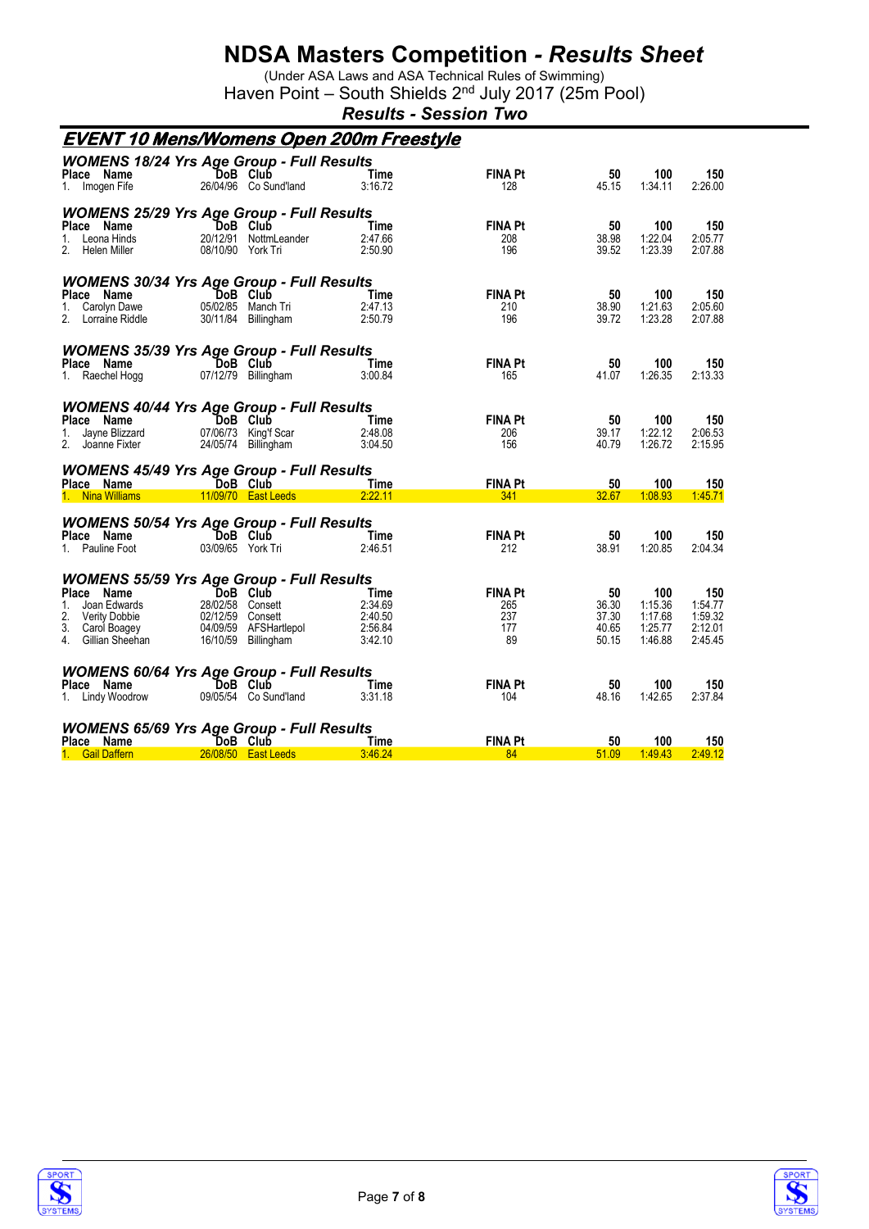(Under ASA Laws and ASA Technical Rules of Swimming) Haven Point - South Shields 2<sup>nd</sup> July 2017 (25m Pool)

*Results - Session Two*

|                                                                                                               | <u>EVENT 10 Mens/Womens Open 200m Freestyle</u>                                                                                                      |                                                  |                                           |                                        |                                                 |                                                 |
|---------------------------------------------------------------------------------------------------------------|------------------------------------------------------------------------------------------------------------------------------------------------------|--------------------------------------------------|-------------------------------------------|----------------------------------------|-------------------------------------------------|-------------------------------------------------|
| Place Name<br>1. Imogen Fife                                                                                  | <b>WOMENS 18/24 Yrs Age Group - Full Results</b><br>DoB Club<br>26/04/96 Co Sund'land                                                                | Time<br>3:16.72                                  | <b>FINA Pt</b><br>128                     | 50<br>45.15                            | 100<br>1:34.11                                  | 150<br>2:26.00                                  |
| Place Name<br>Leona Hinds<br>1.<br>2.<br>Helen Miller                                                         | <b>WOMENS 25/29 Yrs Age Group - Full Results</b><br>DoB Club<br>20/12/91 NottmLeander<br>08/10/90 York Tri                                           | Time<br>2:47.66<br>2:50.90                       | <b>FINA Pt</b><br>208<br>196              | 50<br>38.98<br>39.52                   | 100<br>1:22.04<br>1:23.39                       | 150<br>2:05.77<br>2:07.88                       |
| Place Name<br>Carolyn Dawe<br>$1_{\ldots}$<br>2.<br>Lorraine Riddle                                           | <b>WOMENS 30/34 Yrs Age Group - Full Results</b><br>DoB Club<br>05/02/85 Manch Tri<br>30/11/84 Billingham                                            | Time<br>2:47.13<br>2:50.79                       | <b>FINA Pt</b><br>210<br>196              | 50<br>38.90<br>39.72                   | 100<br>1:21.63<br>1:23.28                       | 150<br>2:05.60<br>2:07.88                       |
| Place Name<br>1. Raechel Hogg                                                                                 | <b>WOMENS 35/39 Yrs Age Group - Full Results</b><br>DoB Club<br>07/12/79 Billingham                                                                  | Time<br>3:00.84                                  | <b>FINA Pt</b><br>165                     | 50<br>41.07                            | 100<br>1:26.35                                  | 150<br>2:13.33                                  |
| Place Name<br>Jayne Blizzard<br>1.<br>$\overline{2}$ .<br>Joanne Fixter                                       | <b>WOMENS 40/44 Yrs Age Group - Full Results</b><br>DoB Club<br>07/06/73 King'f Scar<br>24/05/74 Billingham                                          | Time<br>2:48.08<br>3:04.50                       | <b>FINA Pt</b><br>206<br>156              | 50<br>39.17<br>40.79                   | 100<br>1:22.12<br>1:26.72                       | 150<br>2:06.53<br>2:15.95                       |
| Place Name<br>1. Nina Williams                                                                                | <b>WOMENS 45/49 Yrs Age Group - Full Results</b><br>DoB Club<br>11/09/70 East Leeds                                                                  | Time<br>2:22.11                                  | <b>FINA Pt</b><br>341                     | 50<br>32.67                            | 100<br>1:08.93                                  | 150<br>1:45.71                                  |
| Place Name<br>1. Pauline Foot                                                                                 | <b>WOMENS 50/54 Yrs Age Group - Full Results</b><br>DoB Club<br>03/09/65 York Tri                                                                    | Time<br>2:46.51                                  | <b>FINA Pt</b><br>212                     | 50<br>38.91                            | 100<br>1:20.85                                  | 150<br>2:04.34                                  |
| Place Name<br>Joan Edwards<br>1.<br>2.<br><b>Verity Dobbie</b><br>3.<br>Carol Boagey<br>4.<br>Gillian Sheehan | <b>WOMENS 55/59 Yrs Age Group - Full Results</b><br>DoB Club<br>28/02/58 Consett<br>02/12/59 Consett<br>04/09/59 AFSHartlepol<br>16/10/59 Billingham | Time<br>2:34.69<br>2:40.50<br>2:56.84<br>3:42.10 | <b>FINA Pt</b><br>265<br>237<br>177<br>89 | 50<br>36.30<br>37.30<br>40.65<br>50.15 | 100<br>1:15.36<br>1:17.68<br>1:25.77<br>1:46.88 | 150<br>1:54.77<br>1:59.32<br>2:12.01<br>2:45.45 |
| Place Name<br>1. Lindy Woodrow                                                                                | <b>WOMENS 60/64 Yrs Age Group - Full Results</b><br>DoB Club<br>09/05/54 Co Sund'land                                                                | Time<br>3:31.18                                  | <b>FINA Pt</b><br>104                     | 50<br>48.16                            | 100<br>1:42.65                                  | 150<br>2:37.84                                  |
| Place Name<br>1. Gail Daffern                                                                                 | <b>WOMENS 65/69 Yrs Age Group - Full Results</b><br>DoB Club<br>26/08/50    East Leeds                                                               | Time<br>3:46.24                                  | <b>FINA Pt</b><br>84                      | 50<br>51.09                            | 100<br>1:49.43                                  | 150<br>2:49.12                                  |



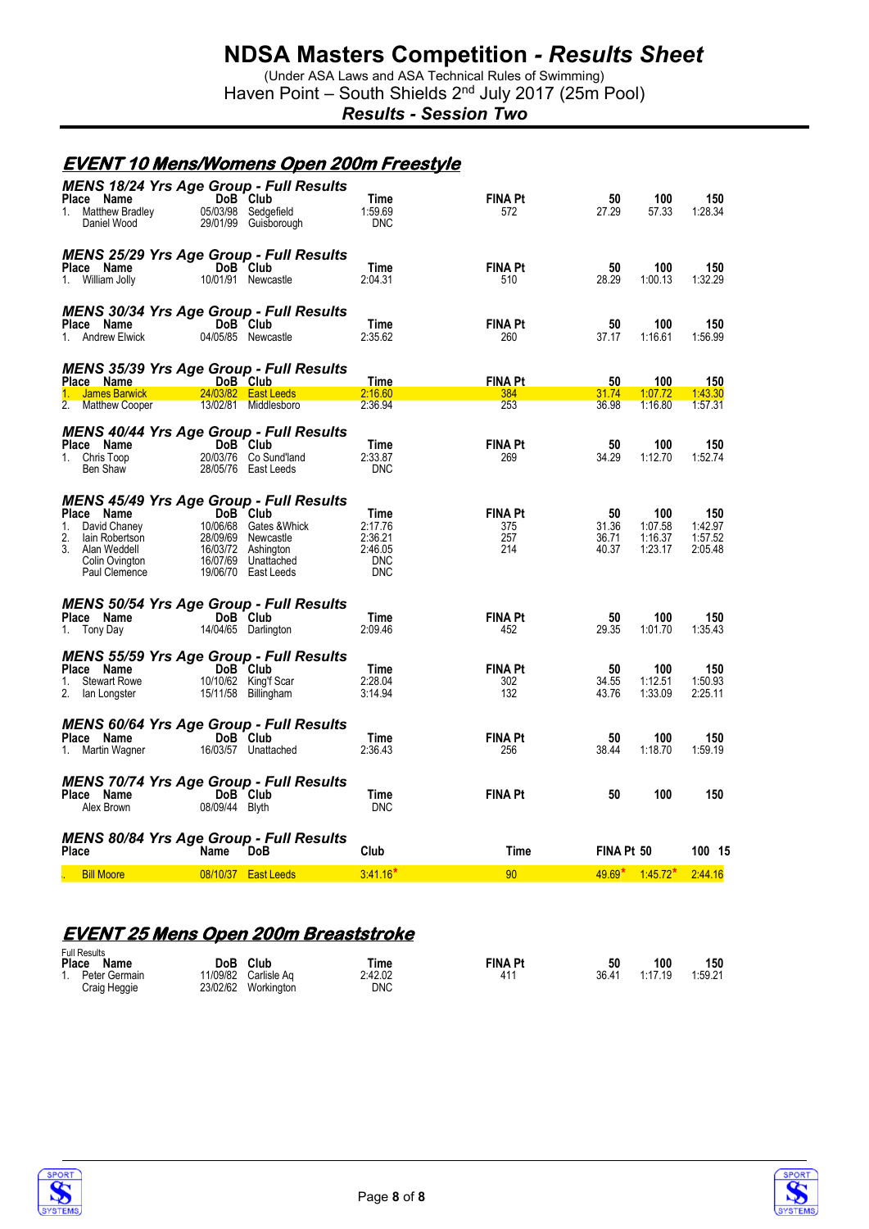(Under ASA Laws and ASA Technical Rules of Swimming) Haven Point - South Shields 2<sup>nd</sup> July 2017 (25m Pool)

*Results - Session Two*

#### **EVENT 10 Mens/Womens Open 200m Freestyle**

| Place Name<br>Matthew Bradley<br>1.<br>Daniel Wood                                                                     | <b>MENS 18/24 Yrs Age Group - Full Results</b><br>DoB Club<br>05/03/98 Sedgefield<br>29/01/99 Guisborough                                                                            | Time<br>1:59.69<br><b>DNC</b>                                     | <b>FINA Pt</b><br>572               | 50<br>27.29                   | 100<br>57.33                         | 150<br>1:28.34                       |
|------------------------------------------------------------------------------------------------------------------------|--------------------------------------------------------------------------------------------------------------------------------------------------------------------------------------|-------------------------------------------------------------------|-------------------------------------|-------------------------------|--------------------------------------|--------------------------------------|
| Place Name<br>1. William Jolly                                                                                         | <b>MENS 25/29 Yrs Age Group - Full Results</b><br>DoB Club<br>10/01/91 Newcastle                                                                                                     | Time<br>2:04.31                                                   | <b>FINA Pt</b><br>510               | 50<br>28.29                   | 100<br>1:00.13                       | 150<br>1:32.29                       |
| Place Name<br>1. Andrew Elwick                                                                                         | <b>MENS 30/34 Yrs Age Group - Full Results</b><br>DoB Club<br>04/05/85 Newcastle                                                                                                     | Time<br>2:35.62                                                   | <b>FINA Pt</b><br>260               | 50<br>37.17                   | 100<br>1:16.61                       | 150<br>1:56.99                       |
| Place Name                                                                                                             | <b>MENS 35/39 Yrs Age Group - Full Results</b><br>DoB Club                                                                                                                           | Time                                                              | <b>FINA Pt</b>                      | 50                            | 100                                  | 150                                  |
| 1. James Barwick                                                                                                       | 24/03/82 East Leeds                                                                                                                                                                  | 2:16.60                                                           | 384                                 | 31.74                         | 1:07.72                              | 1:43.30                              |
| 2. Matthew Cooper                                                                                                      | 13/02/81 Middlesboro                                                                                                                                                                 | 2.36.94                                                           | 253                                 | 36.98                         | 1:16.80                              | 1:57.31                              |
| Place Name<br>1. Chris Toop<br>Ben Shaw                                                                                | <b>MENS 40/44 Yrs Age Group - Full Results</b><br>DoB Club<br>20/03/76 Co Sund'land<br>28/05/76 East Leeds                                                                           | Time<br>2:33.87<br><b>DNC</b>                                     | <b>FINA Pt</b><br>269               | 50<br>34.29                   | 100<br>1:12.70                       | 150<br>1:52.74                       |
| Place Name<br>$1_{-}$<br>David Chaney<br>2.<br>lain Robertson<br>3.<br>Alan Weddell<br>Colin Ovington<br>Paul Clemence | <b>MENS 45/49 Yrs Age Group - Full Results</b><br>DoB Club<br>10/06/68 Gates & Whick<br>28/09/69<br>Newcastle<br>16/03/72<br>Ashington<br>16/07/69 Unattached<br>19/06/70 East Leeds | Time<br>2:17.76<br>2:36.21<br>2:46.05<br><b>DNC</b><br><b>DNC</b> | <b>FINA Pt</b><br>375<br>257<br>214 | 50<br>31.36<br>36.71<br>40.37 | 100<br>1:07.58<br>1:16.37<br>1:23.17 | 150<br>1:42.97<br>1:57.52<br>2:05.48 |
| Place Name<br>1. Tony Day                                                                                              | <b>MENS 50/54 Yrs Age Group - Full Results</b><br>DoB Club<br>14/04/65 Darlington                                                                                                    | Time<br>2:09.46                                                   | <b>FINA Pt</b><br>452               | 50<br>29.35                   | 100<br>1:01.70                       | 150<br>1:35.43                       |
| Place Name<br><b>Stewart Rowe</b><br>1.<br>2.<br>lan Longster                                                          | <b>MENS 55/59 Yrs Age Group - Full Results</b><br>DoB Club<br>10/10/62 King'f Scar<br>15/11/58 Billingham                                                                            | Time<br>2:28.04<br>3:14.94                                        | <b>FINA Pt</b><br>302<br>132        | 50<br>34.55<br>43.76          | 100<br>1:12.51<br>1:33.09            | 150<br>1:50.93<br>2:25.11            |
| Place Name<br>1. Martin Wagner                                                                                         | <b>MENS 60/64 Yrs Age Group - Full Results</b><br>DoB Club<br>16/03/57 Unattached                                                                                                    | Time<br>2:36.43                                                   | <b>FINA Pt</b><br>256               | 50<br>38.44                   | 100<br>1:18.70                       | 150<br>1:59.19                       |
| Place Name<br>Alex Brown                                                                                               | <b>MENS 70/74 Yrs Age Group - Full Results</b><br>DoB Club<br>08/09/44 Blyth                                                                                                         | Time<br><b>DNC</b>                                                | <b>FINA Pt</b>                      | 50                            | 100                                  | 150                                  |
| Place                                                                                                                  | MENS 80/84 Yrs Age Group - Full Results<br><b>DoB</b><br>Name                                                                                                                        | Club                                                              | Time                                | FINA Pt 50                    |                                      | 100 15                               |
| <b>Bill Moore</b>                                                                                                      | 08/10/37 East Leeds                                                                                                                                                                  | $3.41.16*$                                                        | 90                                  |                               | $49.69$ $*$ $1.45.72$ $*$            | 2:44.16                              |
|                                                                                                                        |                                                                                                                                                                                      |                                                                   |                                     |                               |                                      |                                      |

### **EVENT 25 Mens Open 200m Breaststroke**

| <b>Full Results</b>                |                      |                           |                       |                |       |         |         |
|------------------------------------|----------------------|---------------------------|-----------------------|----------------|-------|---------|---------|
| Place<br>Name                      | DoB                  | Club                      | Time                  | <b>FINA Pt</b> | 50    | 100     | 150     |
| Peter Germain<br>1<br>Craig Heggie | 11/09/82<br>23/02/62 | Carlisle Ag<br>Workington | 2:42.02<br><b>DNC</b> | $41^{\circ}$   | 36.41 | 1:17.19 | 1:59.21 |



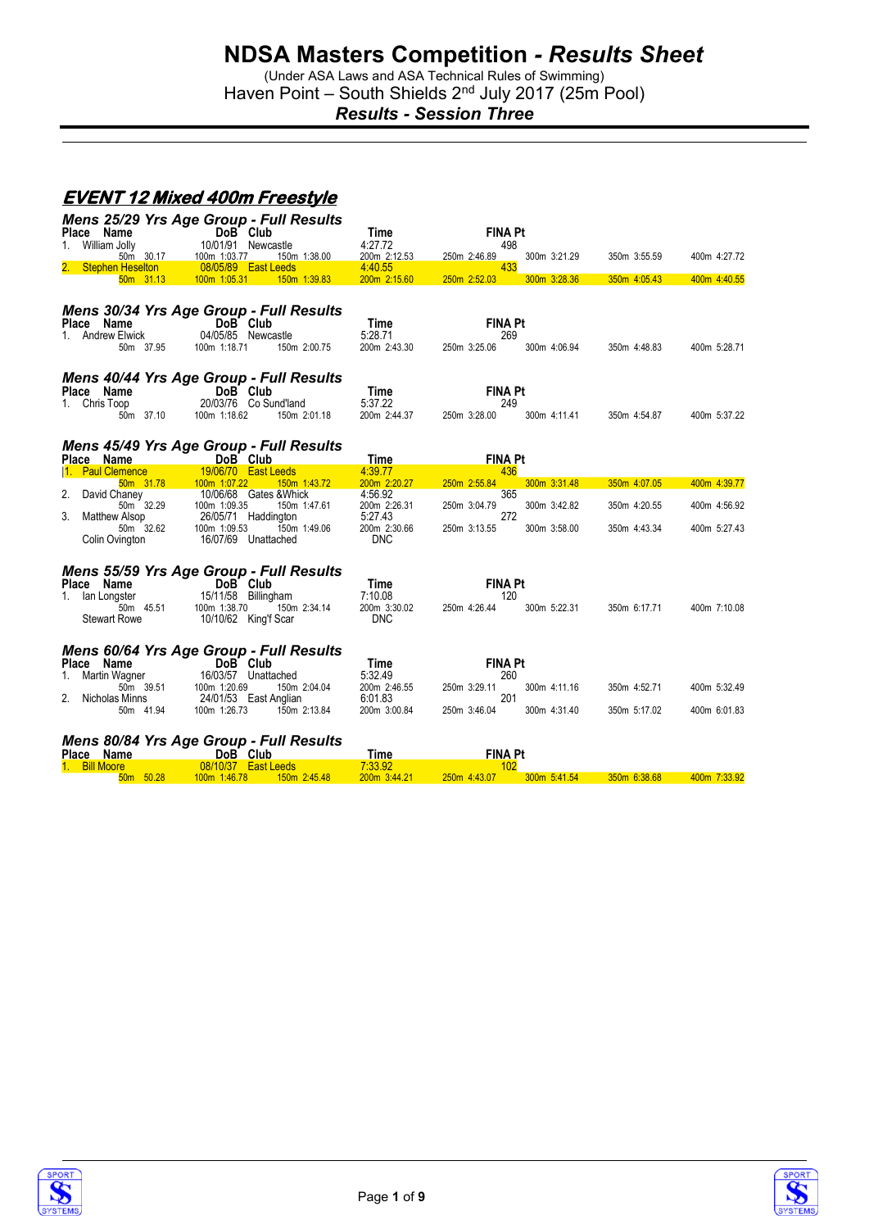(Under ASA Laws and ASA Technical Rules of Swimming) Haven Point - South Shields 2<sup>nd</sup> July 2017 (25m Pool)

*Results - Session Three*

### **EVENT 12 Mixed 400m Freestyle**

|                                         | <b>Mens 25/29 Yrs Age Group - Full Results</b>      |                         |                                     |                |              |
|-----------------------------------------|-----------------------------------------------------|-------------------------|-------------------------------------|----------------|--------------|
| Place Name                              | DoB Club                                            | Time                    | <b>FINA Pt</b>                      |                |              |
| William Jolly<br>1.<br>50m 30.17        | 10/01/91 Newcastle<br>100m 1:03.77<br>150m 1:38.00  | 4:27.72<br>200m 2:12.53 | 498<br>250m 2:46.89<br>300m 3:21.29 | 350m 3:55.59   | 400m 4:27.72 |
| <b>Stephen Heselton</b><br>50m 31.13    | 08/05/89 East Leeds<br>100m 1:05.31<br>150m 1:39.83 | 4:40.55<br>200m 2:15.60 | 433<br>250m 2:52.03<br>300m 3:28.36 | $350m$ 4:05.43 | 400m 4:40.55 |
|                                         |                                                     |                         |                                     |                |              |
|                                         | Mens 30/34 Yrs Age Group - Full Results             |                         |                                     |                |              |
| Place Name                              | DoB Club                                            | Time                    | <b>FINA Pt</b>                      |                |              |
| 1. Andrew Elwick                        | 04/05/85 Newcastle                                  | 5:28.71                 | 269                                 |                |              |
| 50m 37.95                               | 100m 1:18.71<br>150m 2:00.75                        | 200m 2:43.30            | 300m 4:06.94<br>250m 3:25.06        | 350m 4:48.83   | 400m 5:28.71 |
|                                         | Mens 40/44 Yrs Age Group - Full Results             |                         |                                     |                |              |
| Place Name                              | DoB Club                                            | Time                    | <b>FINA Pt</b>                      |                |              |
| 1. Chris Toop                           | 20/03/76 Co Sund'land                               | 5:37.22                 | 249                                 |                |              |
| 50m 37.10                               | 100m 1:18.62<br>150m 2:01.18                        | 200m 2:44.37            | 300m 4:11.41<br>250m 3:28.00        | 350m 4:54.87   | 400m 5:37.22 |
|                                         | <b>Mens 45/49 Yrs Age Group - Full Results</b>      |                         |                                     |                |              |
| Place Name                              | DoB Club                                            | Time                    | <b>FINA Pt</b>                      |                |              |
| 1. Paul Clemence                        | 19/06/70 East Leeds                                 | 4:39.77                 | 436                                 |                |              |
| 50m 31.78                               | 150m 1:43.72<br>100m 1:07.22                        | 200m 2:20.27            | 250m 2:55.84<br>300m 3:31.48        | 350m 4:07.05   | 400m 4:39.77 |
| 2.<br>David Chaney                      | 10/06/68 Gates & Whick                              | 4:56.92                 | 365                                 |                |              |
| 50m 32.29                               | 100m 1:09.35<br>150m 1:47.61                        | 200m 2:26.31            | 300m 3:42.82<br>250m 3:04.79        | 350m 4:20.55   | 400m 4:56.92 |
| 3.<br><b>Matthew Alsop</b><br>50m 32.62 | 26/05/71 Haddington<br>100m 1:09.53<br>150m 1:49.06 | 5:27.43<br>200m 2:30.66 | 272<br>250m 3:13.55<br>300m 3:58.00 | 350m 4:43.34   | 400m 5:27.43 |
| Colin Ovington                          | 16/07/69 Unattached                                 | <b>DNC</b>              |                                     |                |              |
|                                         |                                                     |                         |                                     |                |              |
|                                         | <b>Mens 55/59 Yrs Age Group - Full Results</b>      |                         |                                     |                |              |
| Place Name                              | DoB Club                                            | Time                    | <b>FINA Pt</b>                      |                |              |
| 1. Ian Longster                         | 15/11/58 Billingham                                 | 7:10.08                 | 120                                 |                |              |
| 50m 45.51                               | 100m 1:38.70<br>150m 2:34.14                        | 200m 3:30.02            | 250m 4:26.44<br>300m 5:22.31        | 350m 6:17.71   | 400m 7:10.08 |
| <b>Stewart Rowe</b>                     | 10/10/62 King'f Scar                                | <b>DNC</b>              |                                     |                |              |
|                                         |                                                     |                         |                                     |                |              |
| Place Name                              | Mens 60/64 Yrs Age Group - Full Results<br>DoB Club | Time                    | <b>FINA Pt</b>                      |                |              |
| Martin Wagner<br>1.                     | 16/03/57 Unattached                                 | 5:32.49                 | 260                                 |                |              |
| 50m 39.51                               | 100m 1:20.69<br>150m 2:04.04                        | 200m 2:46.55            | 250m 3:29.11<br>300m 4:11.16        | 350m 4:52.71   | 400m 5:32.49 |
| Nicholas Minns                          | 24/01/53 East Anglian                               | 6:01.83                 | 201                                 |                |              |
| 50m 41.94                               | 100m 1:26.73<br>150m 2:13.84                        | 200m 3:00.84            | 250m 3:46.04<br>300m 4:31.40        | 350m 5:17.02   | 400m 6:01.83 |
|                                         | <b>Mens 80/84 Yrs Age Group - Full Results</b>      |                         |                                     |                |              |
| Place Name                              | DoB Club                                            | Time                    | <b>FINA Pt</b>                      |                |              |
| 1. Bill Moore                           | 08/10/37 East Leeds                                 | 7:33.92                 | 102                                 |                |              |
| 50m 50.28                               | 100m 1:46.78<br>150m 2:45.48                        | 200m 3:44.21            | 250m 4:43.07<br>300m 5:41.54        | 350m 6:38.68   | 400m 7:33.92 |



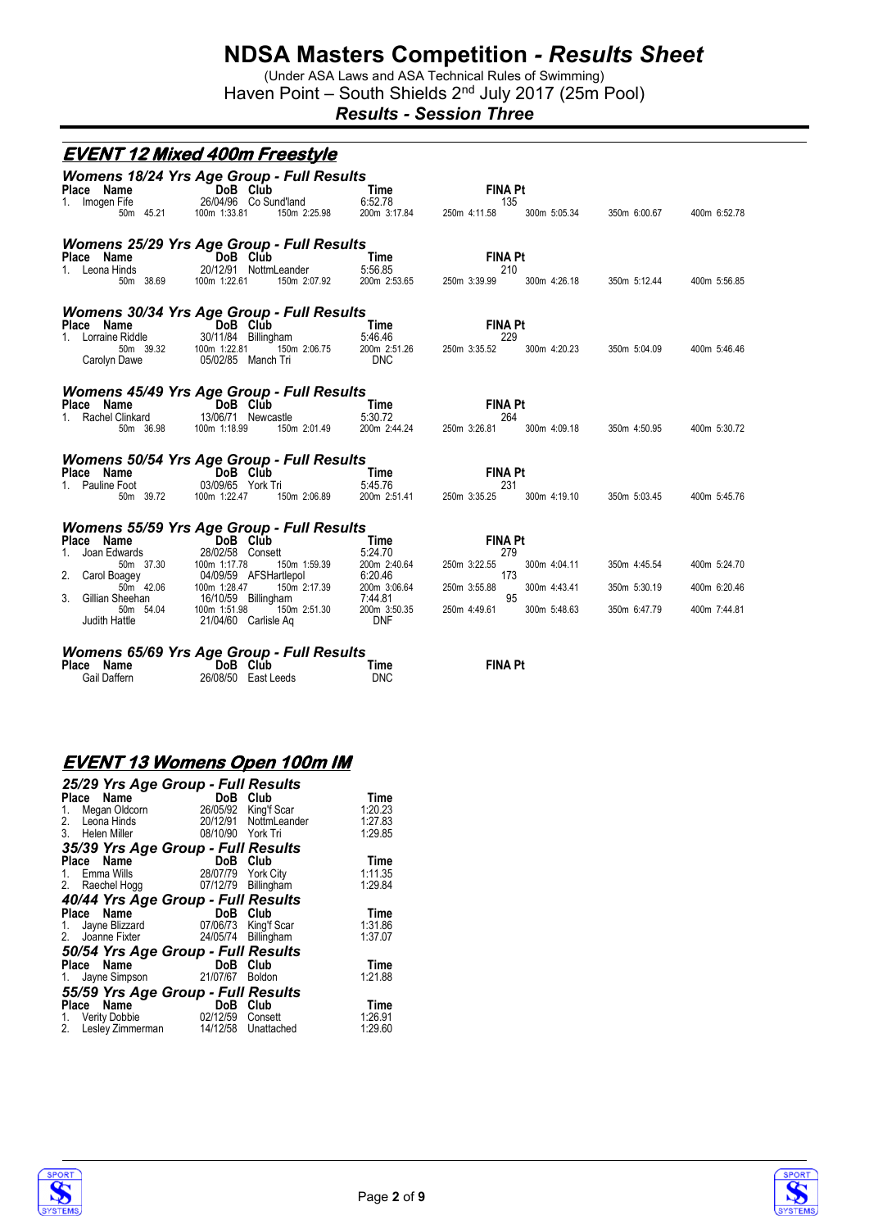(Under ASA Laws and ASA Technical Rules of Swimming) Haven Point - South Shields 2<sup>nd</sup> July 2017 (25m Pool)

*Results - Session Three*

|                                                                                                                                         | <u>EVENT 12 Mixed 400m Freestyle</u>                                                                                                                                                                                                                               |                                                                                                     |                                                                                    |                                              |                                              |                                              |
|-----------------------------------------------------------------------------------------------------------------------------------------|--------------------------------------------------------------------------------------------------------------------------------------------------------------------------------------------------------------------------------------------------------------------|-----------------------------------------------------------------------------------------------------|------------------------------------------------------------------------------------|----------------------------------------------|----------------------------------------------|----------------------------------------------|
| Place Name<br>1. Imogen Fife<br>50m 45.21                                                                                               | <b>Womens 18/24 Yrs Age Group - Full Results</b><br>DoB Club<br>26/04/96 Co Sund'land<br>100m 1:33.81<br>150m 2:25.98                                                                                                                                              | Time<br>6:52.78<br>200m 3:17.84                                                                     | <b>FINA Pt</b><br>135<br>250m 4:11.58                                              | 300m 5:05.34                                 | 350m 6:00.67                                 | 400m 6:52.78                                 |
| Place Name<br>1. Leona Hinds<br>50m 38.69                                                                                               | <b>Womens 25/29 Yrs Age Group - Full Results</b><br>DoB Club<br>20/12/91 NottmLeander<br>100m 1:22.61<br>150m 2:07.92                                                                                                                                              | Time<br>5:56.85<br>200m 2:53.65                                                                     | <b>FINA Pt</b><br>210<br>250m 3:39.99                                              | 300m 4:26.18                                 | 350m 5:12.44                                 | 400m 5:56.85                                 |
| Place Name<br>1. Lorraine Riddle<br>50m 39.32<br>Carolyn Dawe                                                                           | <b>Womens 30/34 Yrs Age Group - Full Results</b><br>DoB Club<br>30/11/84 Billings<br>30/11/84 Billingham<br>100m 1:22.81<br>150m 2:06.75<br>05/02/85 Manch Tri                                                                                                     | <b>Time</b><br>5:46.46<br>200m 2:51.26<br><b>DNC</b>                                                | <b>FINA Pt</b><br>229<br>250m 3:35.52                                              | 300m 4:20.23                                 | 350m 5:04.09                                 | 400m 5:46.46                                 |
| Place Name<br>1. Rachel Clinkard<br>50m 36.98                                                                                           | <b>Womens 45/49 Yrs Age Group - Full Results</b><br>DoB Club<br>13/06/71 Newcastle<br>150m 2:01.49<br>100m 1:18.99                                                                                                                                                 | Time<br>5:30.72<br>200m 2:44.24                                                                     | <b>FINA Pt</b><br>264<br>250m 3:26.81                                              | 300m 4:09.18                                 | 350m 4:50.95                                 | 400m 5:30.72                                 |
| Place Name<br>1. Pauline Foot<br>50m 39.72                                                                                              | <b>Womens 50/54 Yrs Age Group - Full Results</b><br>DoB Club<br>03/09/65 York Tri<br>100m 1:22.47<br>150m 2:06.89                                                                                                                                                  | Time<br>5:45.76<br>200m 2:51.41                                                                     | <b>FINA Pt</b><br>231<br>250m 3:35.25                                              | 300m 4:19.10                                 | 350m 5:03.45                                 | 400m 5:45.76                                 |
| Place Name<br>Joan Edwards<br>1.<br>50m 37.30<br>2.<br>Carol Boagey<br>50m 42.06<br>Gillian Sheehan<br>3.<br>50m 54.04<br>Judith Hattle | <b>Womens 55/59 Yrs Age Group - Full Results</b><br>DoB Club<br>28/02/58 Consett<br>150m 1:59.39<br>100m 1:1/./o<br>04/09/59 AFSHartlepol<br>150m 2<br>100m 1:28.47<br>150m 2:17.39<br>16/10/59 Billingham<br>150m 2:51.30<br>100m 1:51.98<br>21/04/60 Carlisle Ag | Time<br>5:24.70<br>200m 2:40.64<br>6:20.46<br>200m 3:06.64<br>7:44.81<br>200m 3:50.35<br><b>DNF</b> | <b>FINA Pt</b><br>279<br>250m 3:22.55<br>173<br>250m 3:55.88<br>95<br>250m 4:49.61 | 300m 4:04.11<br>300m 4:43.41<br>300m 5:48.63 | 350m 4:45.54<br>350m 5:30.19<br>350m 6:47.79 | 400m 5:24.70<br>400m 6:20.46<br>400m 7:44.81 |
| Place Name<br>Gail Daffern                                                                                                              | <b>Womens 65/69 Yrs Age Group - Full Results</b><br>DoB Club<br>26/08/50 East Leeds                                                                                                                                                                                | Time<br><b>DNC</b>                                                                                  | <b>FINA Pt</b>                                                                     |                                              |                                              |                                              |

### **EVENT 13 Womens Open 100m IM**

|       | 25/29 Yrs Age Group - Full Results     |                        |               |             |
|-------|----------------------------------------|------------------------|---------------|-------------|
|       | Name<br>Place                          | DoB Club               |               | Time        |
|       | 1. Megan Oldcorn                       | <b>DoB</b><br>26/05/92 | King'f Scar   | 1:20.23     |
|       | 2. Leona Hinds                         | 20/12/91               | NottmLeander  | 1:27.83     |
|       | 3. Helen Miller                        | 08/10/90 York Tri      |               | 1:29.85     |
|       | 35/39 Yrs Age Group - Full Results     |                        |               |             |
| Place | Name<br>$\frac{1}{2}$                  | DoB Club               |               | Time        |
|       | 1. Emma Wills                          | 28/07/79 York City     |               | 1:11.35     |
|       | 2. Raechel Hogg                        | 07/12/79               | Billingham    | 1:29.84     |
|       | 40/44 Yrs Age Group - Full Results     |                        |               |             |
|       | Place Name                             | DoB                    | Club          | <b>Time</b> |
|       | 1. Jayne Blizzard 07/06/73 King'f Scar |                        |               | 1:31.86     |
|       | 2. Joanne Fixter                       | 24/05/74               | Billingham    | 1:37.07     |
|       | 50/54 Yrs Age Group - Full Results     |                        |               |             |
|       | Name<br>Place                          | DoB                    | Club          | Time        |
|       | 1. Jayne Simpson 21/07/67              |                        | <b>Boldon</b> | 1:21.88     |
|       | 55/59 Yrs Age Group - Full Results     |                        |               |             |
|       | Name<br>Place                          | DoB                    | Club          | Time        |
|       | 1. Verity Dobbie                       | 02/12/59               | Consett       | 1:26.91     |
| 2.    | Lesley Zimmerman                       | 14/12/58               | Unattached    | 1:29.60     |



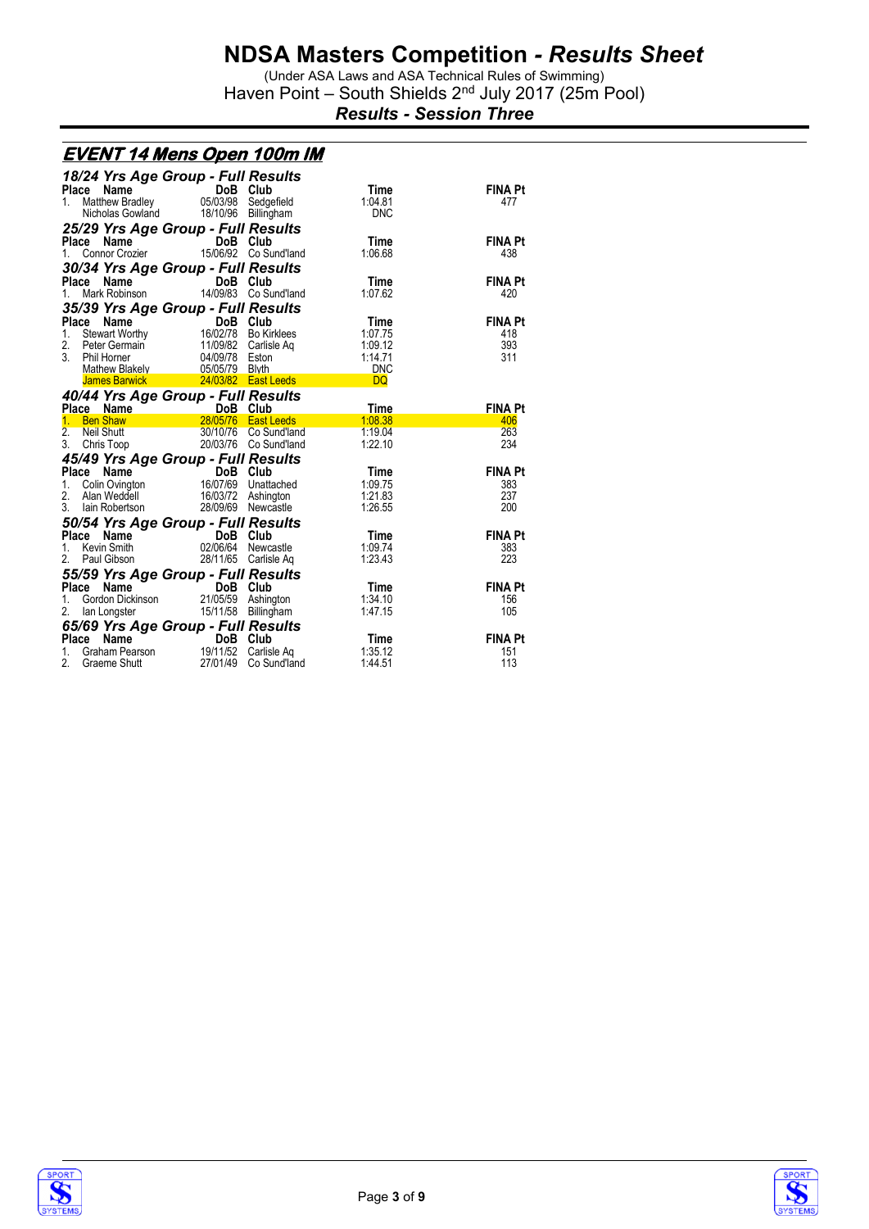(Under ASA Laws and ASA Technical Rules of Swimming) Haven Point - South Shields 2<sup>nd</sup> July 2017 (25m Pool)

*Results - Session Three*

|                  | <u>EVENT 14 Mens Open 100m IM</u>                                           |                |                                              |                    |                       |
|------------------|-----------------------------------------------------------------------------|----------------|----------------------------------------------|--------------------|-----------------------|
|                  | 18/24 Yrs Age Group - Full Results                                          |                |                                              |                    |                       |
|                  | Place<br>Name                                                               | DoB Club       |                                              | <b>Time</b>        | <b>FINA Pt</b>        |
| 1.               | Matthew Bradley                                                             | 05/03/98       | Sedgefield                                   | 1:04.81            | 477                   |
|                  | Nicholas Gowland                                                            | 18/10/96       | Billingham                                   | <b>DNC</b>         |                       |
|                  | 25/29 Yrs Age Group - Full Results                                          |                |                                              |                    |                       |
|                  | Place<br>Name                                                               | DoB Club       |                                              | Time               | <b>FINA Pt</b>        |
| 1.               | Connor Crozier                                                              |                | 15/06/92 Co Sund'land                        | 1:06.68            | 438                   |
|                  | 30/34 Yrs Age Group - Full Results                                          |                |                                              |                    |                       |
| Place            | Name                                                                        | DoB            | Club                                         | Time               | <b>FINA Pt</b>        |
| 1.               | Mark Robinson                                                               |                | 14/09/83 Co Sund'land                        | 1:07.62            | 420                   |
|                  | 35/39 Yrs Age Group - Full Results                                          |                |                                              |                    |                       |
|                  | Place<br>Stewart Worthy<br>Stewart Worthy 16/16/16                          | DoB Club       |                                              | Time               | <b>FINA Pt</b>        |
| 1.<br>2.         |                                                                             |                | 16/02/78 Bo Kirklees<br>11/09/82 Carlisle Ag | 1:07.75<br>1:09.12 | 418<br>393            |
| 3                | Peter Germain<br>Phil Horner                                                | 04/09/78 Eston |                                              | 1:14.71            | 311                   |
|                  | Mathew Blakely                                                              | 05/05/79 Blyth |                                              | <b>DNC</b>         |                       |
|                  | <b>James Barwick</b>                                                        |                | 24/03/82 East Leeds                          | <b>DQ</b>          |                       |
|                  | 40/44 Yrs Age Group - Full Results                                          |                |                                              |                    |                       |
|                  |                                                                             |                |                                              | Time               | <b>FINA Pt</b>        |
|                  | Place Name DoB Club<br>1 Ben Shaw 28/05/76 East Leeds                       |                |                                              | 1:08.38            | 406                   |
| $\overline{2}$ . | Neil Shutt                                                                  |                | 30/10/76 Co Sund'land                        | 1:19.04            | 263                   |
| 3.               | Chris Toop                                                                  |                | 20/03/76 Co Sund'land                        | 1:22.10            | 234                   |
|                  | 45/49 Yrs Age Group - Full Results                                          |                |                                              |                    |                       |
|                  | Place<br>Name                                                               | DoB Club       |                                              | Time               | <b>FINA Pt</b>        |
| 1.               | Colin Ovington                                                              |                | 16/07/69 Unattached                          | 1:09.75<br>1:21.83 | 383                   |
| 2.<br>3.         | Alan Weddell<br>lain Robertson                                              |                | 16/03/72 Ashington                           |                    | 237                   |
|                  |                                                                             |                |                                              |                    |                       |
|                  |                                                                             | 28/09/69       | Newcastle                                    | 1:26.55            | 200                   |
|                  | 50/54 Yrs Age Group - Full Results                                          |                |                                              |                    |                       |
|                  | Place<br>Name                                                               | DoB            | Club                                         | Time               | <b>FINA Pt</b>        |
| 1.               | Kevin Smith                                                                 | 02/06/64       | Newcastle                                    | 1:09.74            | 383                   |
| 2.               | Paul Gibson                                                                 |                | 28/11/65 Carlisle Aq                         | 1:23.43            | 223                   |
|                  | 55/59 Yrs Age Group - Full Results                                          |                |                                              |                    |                       |
|                  | Place Name                                                                  | DoB Club       |                                              | Time               | <b>FINA Pt</b>        |
| 1.<br>2.         | Gordon Dickinson                                                            |                | 21/05/59 Ashington                           | 1:34.10<br>1:47.15 | 156<br>105            |
|                  | lan Longster                                                                |                | 15/11/58 Billingham                          |                    |                       |
|                  |                                                                             |                |                                              |                    |                       |
| 1.<br>2.         | 65/69 Yrs Age Group - Full Results<br>Place Name DoB Club<br>Graham Pearson | 19/11/52       | Carlisle Aq                                  | Time<br>1:35.12    | <b>FINA Pt</b><br>151 |



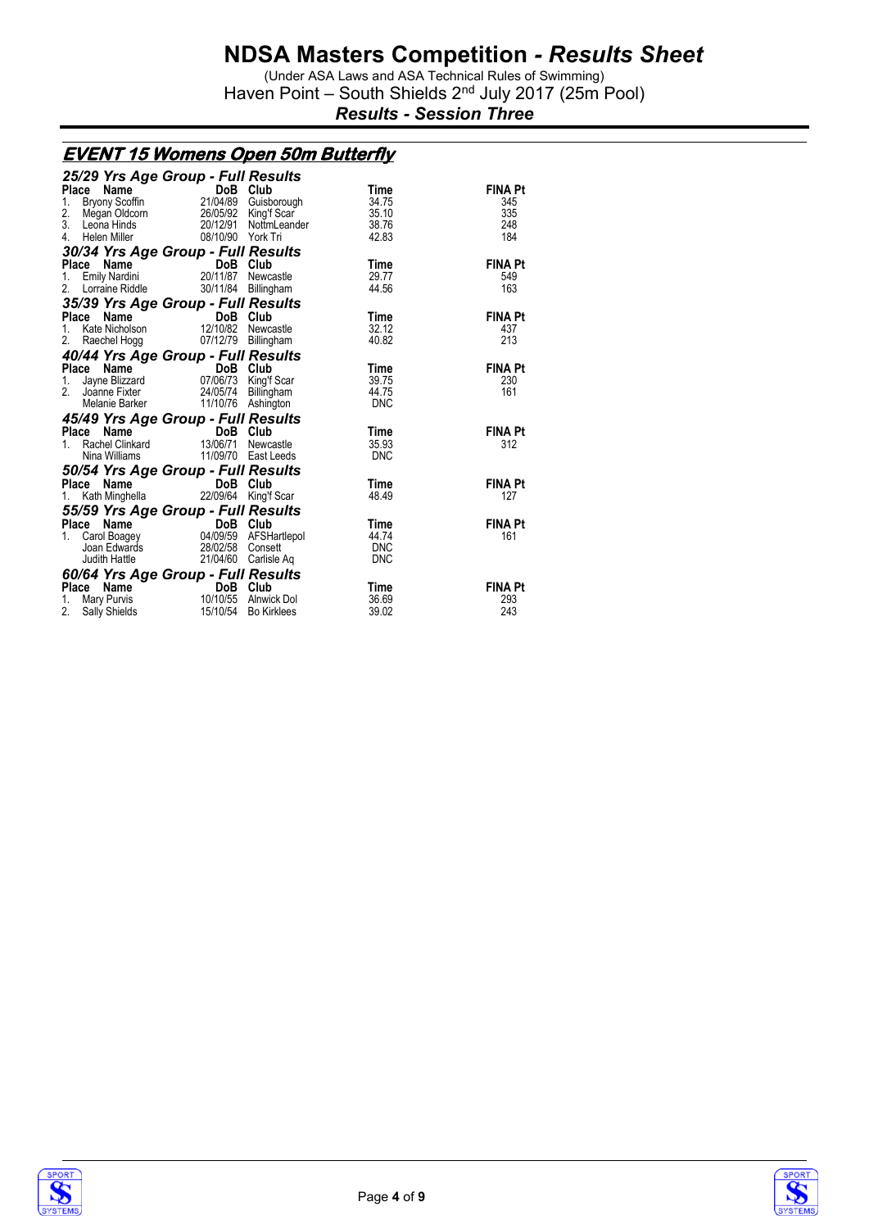(Under ASA Laws and ASA Technical Rules of Swimming) Haven Point - South Shields 2<sup>nd</sup> July 2017 (25m Pool)

*Results - Session Three*

#### **EVENT 15 Womens Open 50m Butterfly**

| 25/29 Yrs Age Group - Full Results |                                                                                                                |                      |             |                |
|------------------------------------|----------------------------------------------------------------------------------------------------------------|----------------------|-------------|----------------|
| <b>Place</b><br>Name               | DoB<br>$\overline{\text{DoB}}$<br>21/04/89                                                                     | Club                 | Time        | <b>FINA Pt</b> |
| Bryony Scoffin<br>1.               |                                                                                                                | Guisborough          | 34.75       | 345            |
| 2.                                 | Megan Oldcorn 26/05/92                                                                                         | King'f Scar          | 35.10       | 335            |
| 3.<br>Leona Hinds                  | 20/12/91                                                                                                       | NottmLeander         | 38.76       | 248            |
| 4.<br>Helen Miller                 | 08/10/90 York Tri                                                                                              |                      | 42.83       | 184            |
| 30/34 Yrs Age Group - Full Results |                                                                                                                |                      |             |                |
| Place Name                         | DoB Club                                                                                                       |                      | Time        | FINA Pt        |
| <b>Emily Nardini</b><br>1.         | 20/11/87 Newcastle                                                                                             |                      | 29.77       | 549            |
| Lorraine Riddle<br>2.              |                                                                                                                | 30/11/84 Billingham  | 44.56       | 163            |
| 35/39 Yrs Age Group - Full Results |                                                                                                                |                      |             |                |
| Place<br>Name                      | DoB Club                                                                                                       |                      | <b>Time</b> | <b>FINA Pt</b> |
| Kate Nicholson<br>1.               | 12/10/82 Newcastle                                                                                             |                      | 32.12       | 437            |
| 2.<br>Raechel Hogg                 |                                                                                                                | 07/12/79 Billingham  | 40.82       | 213            |
| 40/44 Yrs Age Group - Full Results |                                                                                                                |                      |             |                |
| Place Name                         | <b>Ce Name</b><br>Jayne Blizzard <b>DoB Club</b><br>Joanne Fister <b>Mark Club</b><br>Alforace California Club |                      | Time        | <b>FINA Pt</b> |
| 1.                                 |                                                                                                                |                      | 39.75       | 230            |
| 2 <sub>1</sub><br>Joanne Fixter    | 24/05/74 Billingham                                                                                            |                      | 44.75       | 161            |
| Melanie Barker                     |                                                                                                                | 11/10/76 Ashington   | <b>DNC</b>  |                |
| 45/49 Yrs Age Group - Full Results |                                                                                                                |                      |             |                |
| Place<br>Name                      | DoB Club                                                                                                       |                      | Time        | <b>FINA Pt</b> |
| Rachel Clinkard<br>1.              | 13/06/71                                                                                                       | Newcastle            | 35.93       | 312            |
| Nina Williams                      |                                                                                                                | 11/09/70 East Leeds  | DNC         |                |
| 50/54 Yrs Age Group - Full Results |                                                                                                                |                      |             |                |
| Place Name                         | DoB Club                                                                                                       |                      | Time        | <b>FINA Pt</b> |
| Kath Minghella<br>1.               |                                                                                                                | 22/09/64 King'f Scar | 48.49       | 127            |
| 55/59 Yrs Age Group - Full Results |                                                                                                                |                      |             |                |
| Place                              | ce Name (DoB Club<br>Carol Boagey (04/09/59 AFSHartlepol                                                       |                      | Time        | <b>FINA Pt</b> |
| 1.                                 |                                                                                                                |                      | 44.74       | 161            |
| Joan Edwards                       | 28/02/58 Consett                                                                                               |                      | <b>DNC</b>  |                |
| Judith Hattle                      |                                                                                                                | 21/04/60 Carlisle Aq | <b>DNC</b>  |                |
| 60/64 Yrs Age Group - Full Results |                                                                                                                |                      |             |                |
| Place Name                         | DoB Club<br><b>DoB Club</b><br>10/10/55 Alnwick Dol                                                            |                      | Time        | <b>FINA Pt</b> |
| Mary Purvis<br>1.                  |                                                                                                                |                      | 36.69       | 293            |
| 2.<br><b>Sally Shields</b>         |                                                                                                                | 15/10/54 Bo Kirklees | 39.02       | 243            |



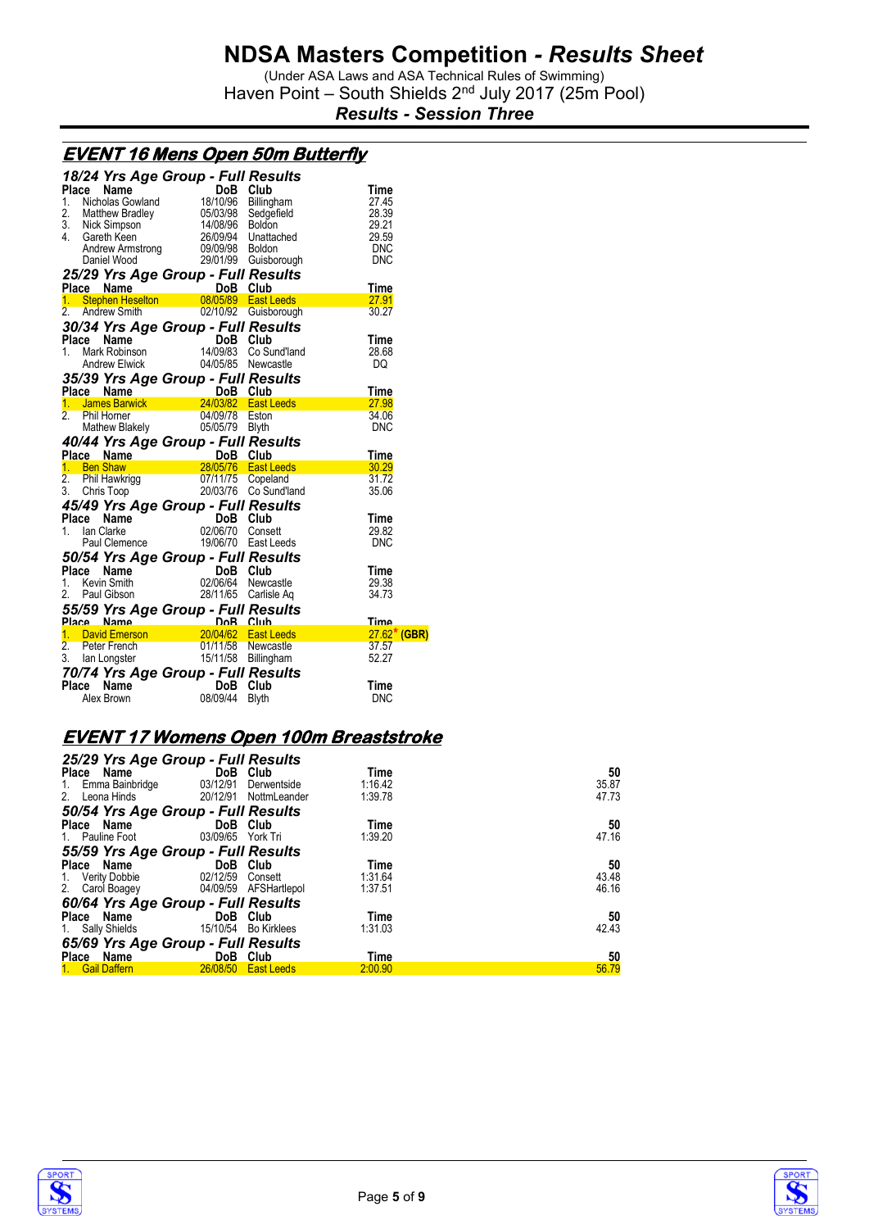(Under ASA Laws and ASA Technical Rules of Swimming) Haven Point - South Shields 2<sup>nd</sup> July 2017 (25m Pool)

*Results - Session Three*

|    |                | <u>EVENT 16 Mens Open 50m Butterfly</u>                                                                                                                                                                                                                |                    |
|----|----------------|--------------------------------------------------------------------------------------------------------------------------------------------------------------------------------------------------------------------------------------------------------|--------------------|
|    |                | 18/24 Yrs Age Group - Full Results                                                                                                                                                                                                                     |                    |
|    |                | Place Name<br>1. Nicholas Gowland<br>2. Matthew Bradley<br>2. Matthew Bradley<br>2. Matthew Bradley<br>3. Nick Simpson<br>4. Gareth Keen<br>26/09/94 Unattached<br>Andrew Armstrong<br>26/09/98 Boldon<br>26/09/98 Boldon<br>26/09/98 Boldon<br>26/09/ | Time               |
|    |                |                                                                                                                                                                                                                                                        | 27.45              |
|    |                |                                                                                                                                                                                                                                                        | 28.39<br>29.21     |
|    |                |                                                                                                                                                                                                                                                        | 29.59              |
|    |                |                                                                                                                                                                                                                                                        | DNC                |
|    |                |                                                                                                                                                                                                                                                        | DNC                |
|    |                | 25/29 Yrs Age Group - Full Results                                                                                                                                                                                                                     |                    |
|    |                |                                                                                                                                                                                                                                                        | <b>Time</b>        |
|    |                |                                                                                                                                                                                                                                                        | 27.91              |
|    |                |                                                                                                                                                                                                                                                        | 30.27              |
|    |                | 30/34 Yrs Age Group - Full Results                                                                                                                                                                                                                     |                    |
|    | Place Name     |                                                                                                                                                                                                                                                        | <b>Time</b>        |
| 1. |                |                                                                                                                                                                                                                                                        | 28.68              |
|    |                | Ce Name DoB Club<br>Mark Robinson 14/09/83 Co Sund'land<br>Andrew Elwick 04/05/85 Newcastle                                                                                                                                                            | DQ                 |
|    |                | 35/39 Yrs Age Group - Full Results<br>Place Name – DoB Club<br>1. James Barwick – 24/03/82 East Leeds                                                                                                                                                  |                    |
|    |                |                                                                                                                                                                                                                                                        | Time               |
|    |                |                                                                                                                                                                                                                                                        | $\frac{27.98}{27}$ |
|    | 2. Phil Horner | Phil Horner 04/09/78 Eston<br>Mathew Blakely 05/05/79 Blyth                                                                                                                                                                                            | 34.06              |
|    |                |                                                                                                                                                                                                                                                        | <b>DNC</b>         |
|    |                | 40/44 Yrs Age Group - Full Results                                                                                                                                                                                                                     |                    |
|    |                | <b>Place Name DoB Club</b><br><b>1. Ben Shaw 28/05/76 East Leeds</b><br>2. Phil Hawkrigg 07/11/75 Copeland<br>3. Chris Toop 20/03/76 Co Sund'land                                                                                                      | Time               |
|    |                |                                                                                                                                                                                                                                                        | 30.29              |
|    |                |                                                                                                                                                                                                                                                        | 31.72              |
|    |                |                                                                                                                                                                                                                                                        | 35.06              |
|    |                | 45/49 Yrs Age Group - Full Results                                                                                                                                                                                                                     |                    |
|    |                |                                                                                                                                                                                                                                                        | Time               |
|    |                | Place Name<br>1. Ian Clarke<br>2/06/70 Consett<br>Paul Clemence<br>2/06/70 East Leeds                                                                                                                                                                  | 29.82              |
|    |                |                                                                                                                                                                                                                                                        | <b>DNC</b>         |
|    |                | 50/54 Yrs Age Group - Full Results                                                                                                                                                                                                                     |                    |
|    |                | Place Name<br>1. Kevin Smith<br>2. Paul Gibson<br>2. Paul Gibson<br>28/11/65 Carlisle Aq                                                                                                                                                               | <b>Time</b>        |
|    |                |                                                                                                                                                                                                                                                        | 29.38              |
|    |                |                                                                                                                                                                                                                                                        | 34.73              |
|    |                | 55/59 Yrs Age Group - Full Results<br>Place Name DoB Club<br>1. David Emerson 20/04/62 East Leeds<br>2. Peter French 01/11/58 Newcastle<br>3. Ian Longster 15/11/58 Billingham                                                                         |                    |
|    |                |                                                                                                                                                                                                                                                        | Time               |
|    |                |                                                                                                                                                                                                                                                        | $27.62$ (GBR)      |
|    |                |                                                                                                                                                                                                                                                        | 37.57              |
|    |                |                                                                                                                                                                                                                                                        | 52.27              |
|    |                | <b>70/74 Yrs Age Group - Full Results<br/>Place Name DoB Club<br/>Alex Brown 08/09/44 Blyth</b>                                                                                                                                                        |                    |
|    | Place Name     |                                                                                                                                                                                                                                                        | Time               |
|    |                |                                                                                                                                                                                                                                                        | DNC                |

### **EVENT 17 Womens Open 100m Breaststroke**

| 25/29 Yrs Age Group - Full Results    |                            |                   |         |       |
|---------------------------------------|----------------------------|-------------------|---------|-------|
| Place Name                            | DoB Club                   |                   | Time    | 50    |
| 1. Emma Bainbridge 03/12/91           |                            | Derwentside       | 1:16.42 | 35.87 |
| 2. Leona Hinds                        | 20/12/91 NottmLeander      |                   | 1:39.78 | 47.73 |
| 50/54 Yrs Age Group - Full Results    |                            |                   |         |       |
| Place Name                            | DoB Club                   |                   | Time    | 50    |
| 1. Pauline Foot                       | 03/09/65 York Tri          |                   | 1:39.20 | 47.16 |
| 55/59 Yrs Age Group - Full Results    |                            |                   |         |       |
| Place Name                            | <b>Example 19 DoB</b> Club |                   | Time    | 50    |
| 1. Verity Dobbie                      | 02/12/59 Consett           |                   | 1:31.64 | 43.48 |
| 2. Carol Boagey 04/09/59 AFSHartlepol |                            |                   | 1:37.51 | 46.16 |
| 60/64 Yrs Age Group - Full Results    |                            |                   |         |       |
| Place Name                            | <b>DoB</b> Club            |                   | Time    | 50    |
| 1. Sally Shields                      | 15/10/54 Bo Kirklees       |                   | 1:31.03 | 42.43 |
| 65/69 Yrs Age Group - Full Results    |                            |                   |         |       |
| Place Name                            | DoB Club                   |                   | Time    | 50    |
| 1. Gail Daffern                       | 26/08/50                   | <b>East Leeds</b> | 2:00.90 | 56.79 |
|                                       |                            |                   |         |       |



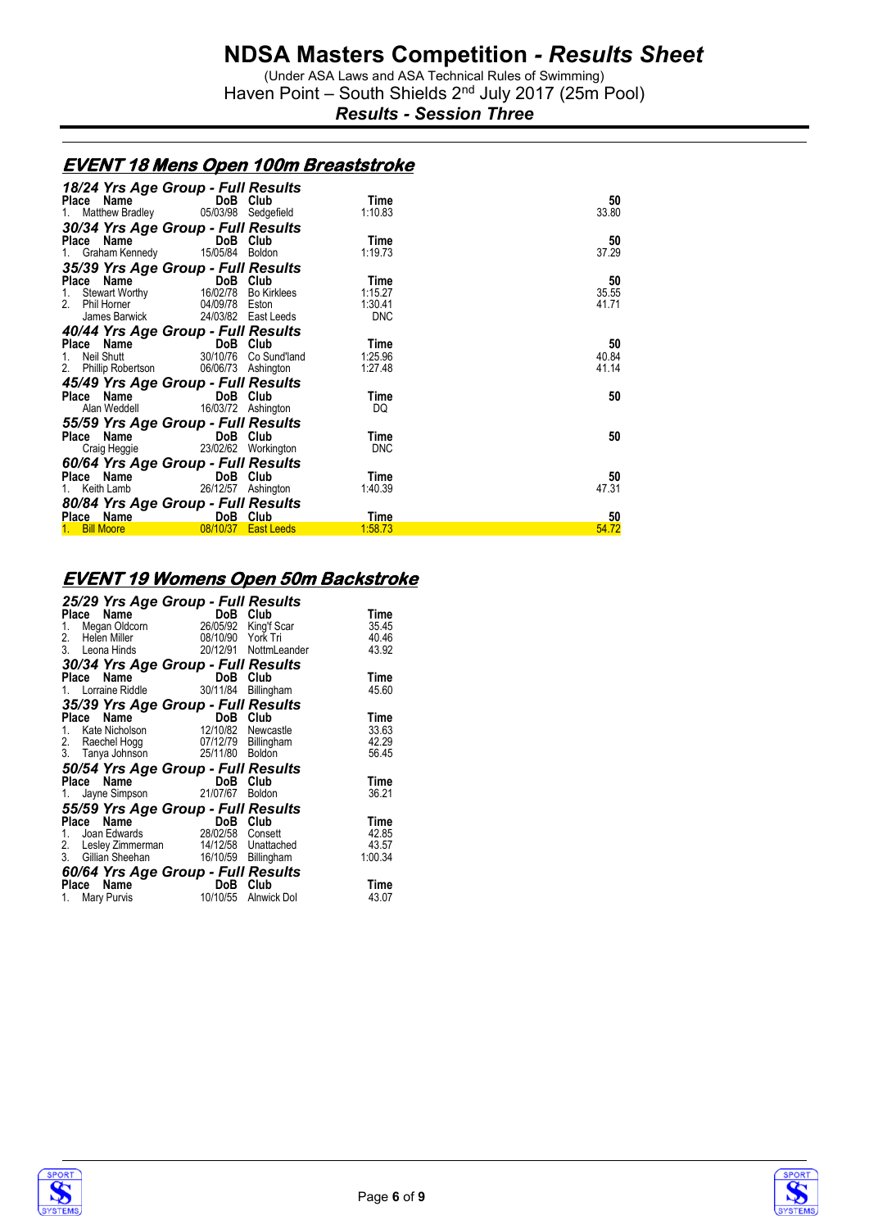(Under ASA Laws and ASA Technical Rules of Swimming) Haven Point - South Shields 2<sup>nd</sup> July 2017 (25m Pool)

*Results - Session Three*

#### **EVENT 18 Mens Open 100m Breaststroke**

| 18/24 Yrs Age Group - Full Results      |                      |            |       |
|-----------------------------------------|----------------------|------------|-------|
| Place Name                              | DoB Club             | Time       | 50    |
| 1. Matthew Bradley 05/03/98 Sedgefield  |                      | 1:10.83    | 33.80 |
| 30/34 Yrs Age Group - Full Results      |                      |            |       |
| Place Name                              | DoB Club             | Time       | 50    |
| 1. Graham Kennedy 15/05/84 Boldon       |                      | 1:19.73    | 37.29 |
| 35/39 Yrs Age Group - Full Results      |                      |            |       |
| Place Name DoB Club                     |                      | Time       | 50    |
| 1. Stewart Worthy                       | 16/02/78 Bo Kirklees | 1:15.27    | 35.55 |
| 2. Phil Horner 04/09/78 Eston           |                      | 1:30.41    | 41.71 |
| James Barwick 24/03/82 East Leeds       |                      | <b>DNC</b> |       |
| 40/44 Yrs Age Group - Full Results      |                      |            |       |
| Place Name DoB Club                     |                      | Time       | 50    |
| 1. Neil Shutt 30/10/76 Co Sund'land     |                      | 1.25.96    | 40.84 |
| 2. Phillip Robertson 06/06/73 Ashington |                      | 1:27.48    | 41.14 |
| 45/49 Yrs Age Group - Full Results      |                      |            |       |
| Place Name DoB Club                     |                      | Time       | 50    |
| Alan Weddell 16/03/72 Ashington         |                      | DQ         |       |
| 55/59 Yrs Age Group - Full Results      |                      |            |       |
| Place Name                              | DoB Club             | Time       | 50    |
| Craig Heggie 23/02/62 Workington        |                      | <b>DNC</b> |       |
| 60/64 Yrs Age Group - Full Results      |                      |            |       |
| Place Name                              | DoB Club             | Time       | 50    |
| 1. Keith Lamb 26/12/57 Ashington        |                      | 1:40.39    | 47.31 |
| 80/84 Yrs Age Group - Full Results      |                      |            |       |
| Place Name                              | DoB Club             | Time       | 50    |
| 1. Bill Moore                           | 08/10/37 East Leeds  | 1:58.73    | 54.72 |

### **EVENT 19 Womens Open 50m Backstroke**

| 25/29 Yrs Age Group - Full Results      |                      |                       |         |
|-----------------------------------------|----------------------|-----------------------|---------|
| Name<br>Place                           | DoB Club             |                       | Time    |
| Megan Oldcorn<br>1.                     | 26/05/92 King'f Scar |                       | 35.45   |
| 2. Helen Miller                         | 08/10/90 York Tri    |                       | 40.46   |
| 3. Leona Hinds                          |                      | 20/12/91 NottmLeander | 43.92   |
| 30/34 Yrs Age Group - Full Results      |                      |                       |         |
| Name<br>Place                           | DoB Club             |                       | Time    |
| 1. Lorraine Riddle                      | 30/11/84             | Billingham            | 45.60   |
| 35/39 Yrs Age Group - Full Results      |                      |                       |         |
| Name<br>Place                           | DoB Club             |                       | Time    |
| 1. Kate Nicholson                       | 12/10/82             | Newcastle             | 33.63   |
| 2. Raechel Hogg                         | 07/12/79 Billingham  |                       | 42.29   |
| 3. Tanya Johnson                        | 25/11/80 Boldon      |                       | 56.45   |
| 50/54 Yrs Age Group - Full Results      |                      |                       |         |
| Place Name                              | DoB                  | Club                  | Time    |
| 1. Jayne Simpson 21/07/67               |                      | <b>Boldon</b>         | 36.21   |
| 55/59 Yrs Age Group - Full Results      |                      |                       |         |
| Name<br>Place                           | DoB Club             |                       | Time    |
| Joan Edwards<br>1.                      | 28/02/58             | Consett               | 42.85   |
| 2. Lesley Zimmerman 14/12/58 Unattached |                      |                       | 43.57   |
| 3. Gillian Sheehan                      | 16/10/59 Billingham  |                       | 1:00.34 |
| 60/64 Yrs Age Group - Full Results      |                      |                       |         |
| Name<br>Place                           | DoB                  | Club                  | Time    |
| Mary Purvis<br>1.                       | 10/10/55             | Alnwick Dol           | 43.07   |
|                                         |                      |                       |         |



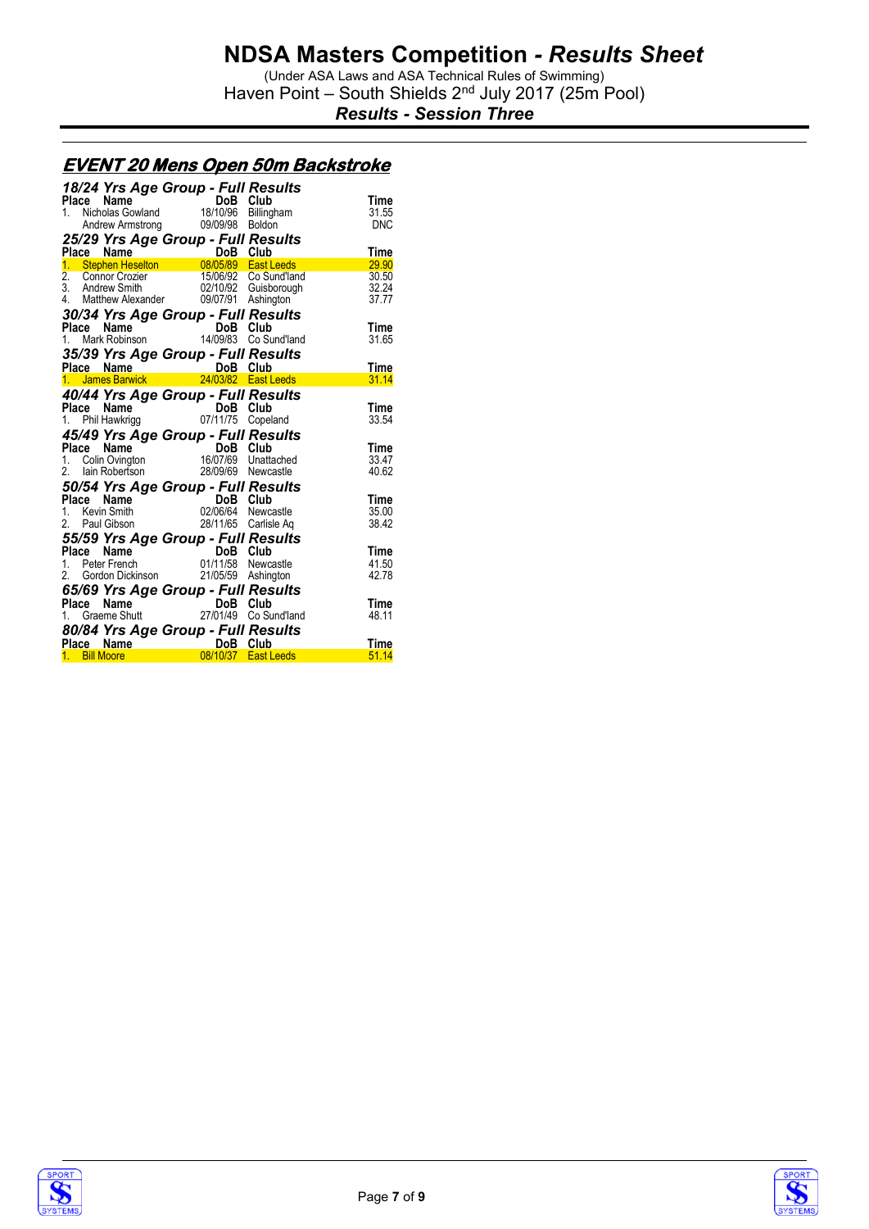(Under ASA Laws and ASA Technical Rules of Swimming) Haven Point - South Shields 2<sup>nd</sup> July 2017 (25m Pool)

*Results - Session Three*

#### **EVENT 20 Mens Open 50m Backstroke**

| 18/24 Yrs Age Group - Full Results                                                                                                                                                  |                      |              |                |
|-------------------------------------------------------------------------------------------------------------------------------------------------------------------------------------|----------------------|--------------|----------------|
| Place Name<br><b>Company of the Market School</b><br>Nicholas Gowland 18/10/96<br>Andrew Armstrong 09/09/98                                                                         |                      | DoB Club     | Time           |
| 1.                                                                                                                                                                                  |                      | Billingham   | 31.55          |
|                                                                                                                                                                                     |                      | Boldon       | <b>DNC</b>     |
| 25/29 Yrs Age Group - Full Results                                                                                                                                                  |                      |              |                |
| Place Name<br>1. Stephen Heselton 08/05/89 East Leeds<br>2. Connor Crozier 15/06/92 Co Sund'land<br>3. Andrew Smith 02/10/92 Guisborough<br>4. Matthew Alexander 09/07/91 Ashington |                      |              | Time           |
|                                                                                                                                                                                     |                      |              | 29.90          |
|                                                                                                                                                                                     |                      |              | 30.50          |
|                                                                                                                                                                                     |                      |              | 32.24          |
|                                                                                                                                                                                     |                      |              | 37.77          |
| 30/34 Yrs Age Group - Full Results                                                                                                                                                  |                      |              |                |
|                                                                                                                                                                                     |                      |              | Time           |
| <b>Place Name (a)</b> DoB Club<br>1. Mark Robinson (a) 14/09/83 Co Sund'land                                                                                                        |                      |              | 31.65          |
| 35/39 Yrs Age Group - Full Results                                                                                                                                                  |                      |              |                |
|                                                                                                                                                                                     |                      |              | Time           |
| Place Name (Barry 1998 Club)<br><u>1. James Barwick (24/03/82 East Leeds</u>                                                                                                        |                      |              | 31.14          |
| 40/44 Yrs Age Group - Full Results                                                                                                                                                  |                      |              |                |
|                                                                                                                                                                                     |                      | DoB Club     | Time           |
| <b>Place Name</b><br>1. Phil Hawkrigg 07/                                                                                                                                           | 07/11/75             | Copeland     | 33.54          |
|                                                                                                                                                                                     |                      |              |                |
| 45/49 Yrs Age Group - Full Results<br>Place                                                                                                                                         |                      |              | Time           |
| <b>Place Name</b><br>1. Colin Ovington 16/07/69 Unattached<br>2. Iain Robertson 28/09/69 Newcastle                                                                                  |                      |              | 33.47          |
|                                                                                                                                                                                     |                      |              | 40.62          |
|                                                                                                                                                                                     |                      |              |                |
| 50/54 Yrs Age Group - Full Results                                                                                                                                                  |                      |              |                |
| Place<br><b>Place Name Bob DoB</b><br>1. Kevin Smith 02/06/64                                                                                                                       |                      | DoB Club     | Time           |
|                                                                                                                                                                                     |                      | Newcastle    | 35.00<br>38.42 |
| 2. Paul Gibson                                                                                                                                                                      |                      |              |                |
|                                                                                                                                                                                     | 28/11/65 Carlisle Aq |              |                |
| 55/59 Yrs Age Group - Full Results                                                                                                                                                  |                      |              |                |
| Place                                                                                                                                                                               |                      | DoB Club     | Time           |
|                                                                                                                                                                                     |                      | Newcastle    | 41.50          |
| <b>Piace Name DoB</b><br>1. Peter French 01/11/58<br>Gordon Dickinson 21/05/59 Ashington<br>2.                                                                                      |                      |              | 42.78          |
|                                                                                                                                                                                     |                      |              |                |
| Place                                                                                                                                                                               |                      |              | Time           |
| <b>65/69 Yrs Age Group - Full Results<br/>Place Name DoB Club<br/>1. Graeme Shutt 27/01/49 Co Sund'land</b>                                                                         |                      | Co Sund'land | 48.11          |
|                                                                                                                                                                                     |                      |              |                |
| <b>80/84 Yrs Age Group - Full Results</b><br>Place Name DoB Club<br><u>1. Bill Moore 08/10/37 East Leeds</u>                                                                        |                      |              | Time           |



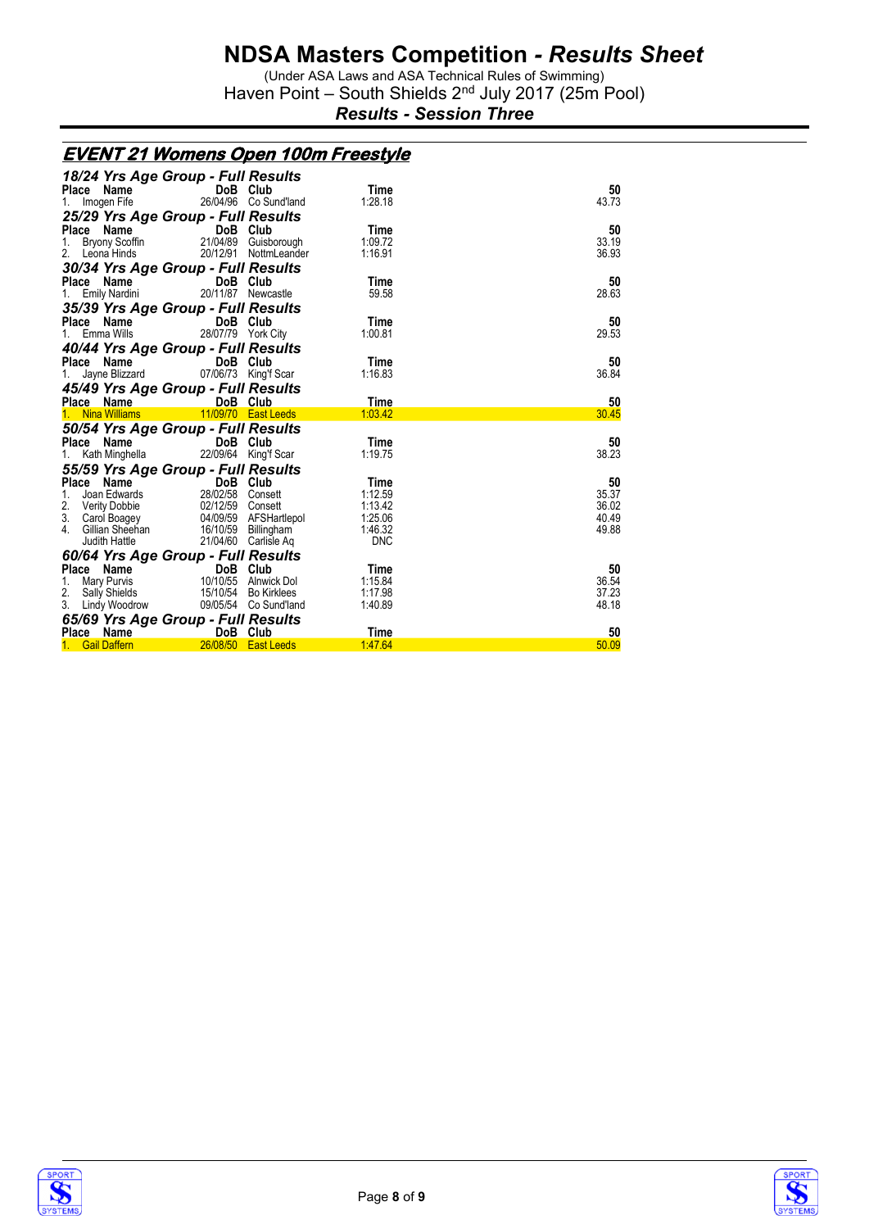(Under ASA Laws and ASA Technical Rules of Swimming) Haven Point - South Shields 2<sup>nd</sup> July 2017 (25m Pool)

*Results - Session Three*

|                                                                                                                                        |                                                               | <u>EVENT 21 Womens Open 100m Freestyle</u> |       |
|----------------------------------------------------------------------------------------------------------------------------------------|---------------------------------------------------------------|--------------------------------------------|-------|
|                                                                                                                                        | 18/24 Yrs Age Group - Full Results                            |                                            |       |
| Place Name                                                                                                                             | DoB Club                                                      | Time                                       | 50    |
| 1. Imogen Fife                                                                                                                         | 26/04/96 Co Sund'land                                         | 1:28.18                                    | 43.73 |
|                                                                                                                                        | 25/29 Yrs Age Group - Full Results                            |                                            |       |
| Place Name                                                                                                                             |                                                               | Time                                       | 50    |
| Bryony Scoffin<br>1.                                                                                                                   | n <b>DoB Club</b><br>n 21/04/89 Guisb<br>21/04/89 Guisborough | 1:09.72                                    | 33.19 |
| 2. Leona Hinds                                                                                                                         | 20/12/91 NottmLeander                                         | 1:16.91                                    | 36.93 |
|                                                                                                                                        | 30/34 Yrs Age Group - Full Results                            |                                            |       |
| Place Name <b>Name</b>                                                                                                                 | DoB Club                                                      | Time                                       | 50    |
| Emily Nardini<br>1.                                                                                                                    | 20/11/87 Newcastle                                            | 59.58                                      | 28.63 |
|                                                                                                                                        | 35/39 Yrs Age Group - Full Results                            |                                            |       |
| Place Name                                                                                                                             | DoB Club                                                      | Time                                       | 50    |
| Emma Wills<br>$1_{\cdot}$                                                                                                              | 28/07/79 York City                                            | 1:00.81                                    | 29.53 |
|                                                                                                                                        | 40/44 Yrs Age Group - Full Results                            |                                            |       |
| Place Name                                                                                                                             | <b>Example 19 DoB</b> Club                                    | Time                                       | 50    |
| 1.                                                                                                                                     | Jayne Blizzard 07/06/73 King'f Scar                           | 1:16.83                                    | 36.84 |
|                                                                                                                                        | 45/49 Yrs Age Group - Full Results                            |                                            |       |
|                                                                                                                                        | Place Name DoB Club                                           | Time                                       | 50    |
|                                                                                                                                        | 1. Nina Williams 11/09/70 East Leeds                          | 1:03.42                                    | 30.45 |
|                                                                                                                                        | 50/54 Yrs Age Group - Full Results                            |                                            |       |
|                                                                                                                                        | Place Name DoB Club                                           | Time                                       | 50    |
| Kath Minghella                                                                                                                         | 22/09/64 King'f Scar                                          | 1:19.75                                    | 38.23 |
|                                                                                                                                        |                                                               |                                            |       |
| 55/59 Yrs Age Group - Full Results<br>Place Name DoB Club<br>1. Joan Edwards 28/02/58 Consett                                          |                                                               | Time                                       | 50    |
|                                                                                                                                        |                                                               | 1:12.59                                    | 35.37 |
|                                                                                                                                        |                                                               | 1:13.42                                    | 36.02 |
|                                                                                                                                        |                                                               | 1:25.06                                    | 40.49 |
|                                                                                                                                        |                                                               | 1:46.32                                    | 49.88 |
| 2. Verity Dobbie<br>2. Carol Boagey<br>3. Carol Boagey<br>4. Gillian Sheehan<br>Judith Hattle<br>21/04/60 Cartiste An<br>Judith Hattle | 21/04/60 Carlisle Aq                                          | <b>DNC</b>                                 |       |
|                                                                                                                                        | 60/64 Yrs Age Group - Full Results                            |                                            |       |
| Place Name                                                                                                                             |                                                               | Time                                       | 50    |
| 1. Mary Purvis                                                                                                                         | <b>DoB Club</b><br>10/10/55 Alnwick Dol                       | 1:15.84                                    | 36.54 |
| 2. Sally Shields                                                                                                                       | 15/10/54 Bo Kirklees                                          | 1:17.98                                    | 37.23 |
| 3. Lindy Woodrow                                                                                                                       | 09/05/54 Co Sund'land                                         | 1:40.89                                    | 48.18 |
|                                                                                                                                        | 65/69 Yrs Age Group - Full Results                            |                                            |       |
| Place Name                                                                                                                             | DoB Club                                                      | Time                                       | 50    |
| <b>Gail Daffern</b>                                                                                                                    | 26/08/50 East Leeds                                           | 1:47.64                                    | 50.09 |